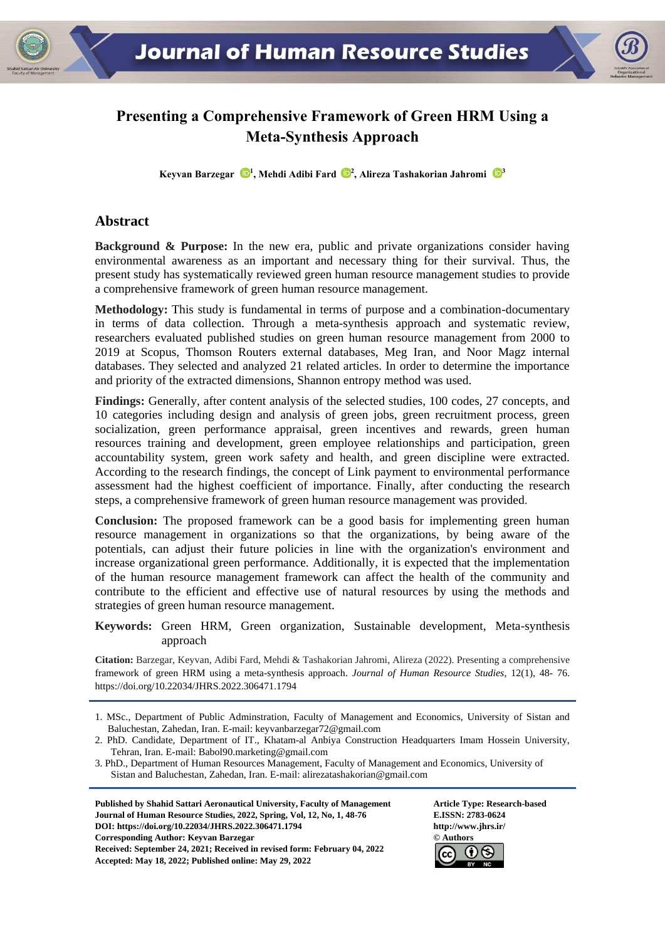# **Presenting a Comprehensive Framework of Green HRM Using a Meta-Synthesis Approach**

**Keyvan Barzegar [1](https://orcid.org/0000-0001-5687-3925) , Mehdi Adibi Fard <sup>2</sup> , Alireza Tashakorian Jahromi [3](https://orcid.org/0000-0002-5833-4770)**

#### **Abstract**

**Background & Purpose:** In the new era, public and private organizations consider having environmental awareness as an important and necessary thing for their survival. Thus, the present study has systematically reviewed green human resource management studies to provide a comprehensive framework of green human resource management.

**Methodology:** This study is fundamental in terms of purpose and a combination-documentary in terms of data collection. Through a meta-synthesis approach and systematic review, researchers evaluated published studies on green human resource management from 2000 to 2019 at Scopus, Thomson Routers external databases, Meg Iran, and Noor Magz internal databases. They selected and analyzed 21 related articles. In order to determine the importance and priority of the extracted dimensions, Shannon entropy method was used.

**Findings:** Generally, after content analysis of the selected studies, 100 codes, 27 concepts, and 10 categories including design and analysis of green jobs, green recruitment process, green socialization, green performance appraisal, green incentives and rewards, green human resources training and development, green employee relationships and participation, green accountability system, green work safety and health, and green discipline were extracted. According to the research findings, the concept of Link payment to environmental performance assessment had the highest coefficient of importance. Finally, after conducting the research steps, a comprehensive framework of green human resource management was provided.

**Conclusion:** The proposed framework can be a good basis for implementing green human resource management in organizations so that the organizations, by being aware of the potentials, can adjust their future policies in line with the organization's environment and increase organizational green performance. Additionally, it is expected that the implementation of the human resource management framework can affect the health of the community and contribute to the efficient and effective use of natural resources by using the methods and strategies of green human resource management.

#### **Keywords:** Green HRM, Green organization, Sustainable development, Meta-synthesis approach

**Citation:** Barzegar, Keyvan, Adibi Fard, Mehdi & Tashakorian Jahromi, Alireza (2022). Presenting a comprehensive framework of green HRM using a meta-synthesis approach. *Journal of Human Resource Studies*, 12(1), 48- 76. https://doi.org[/10.22034/JHRS.2022.306471.1794](https://dx.doi.org/10.22034/jhrs.2022.306471.1794)

Published by Shahid Sattari Aeronautical University, Faculty of Management **Article Type: Research-based Journal of Human Resource Studies, 2022, Spring, Vol, 12, No, 1, 48-76 E.ISSN: 2783-0624 DOI: https://doi.or[g/10.22034/JHRS.2022.306471.1794](https://dx.doi.org/10.22034/jhrs.2022.306471.1794) http://www.jhrs.ir/ Corresponding Author: Keyvan Barzegar © Authors Received: September 24, 2021; Received in revised form: February 04, 2022 Accepted: May 18, 2022; Published online: May 29, 2022**



<sup>1.</sup> MSc., Department of Public Adminstration, Faculty of Management and Economics, University of Sistan and Baluchestan, Zahedan, Iran. E-mail: keyvanbarzegar72@gmail.com

<sup>2.</sup> PhD. Candidate, Department of IT., Khatam-al Anbiya Construction Headquarters Imam Hossein University, Tehran, Iran. [E-mail: Babol90.marketing@gmail.com](mailto:Iran.%20E-mail:%20Babol90.marketing@gmail.com)

<sup>3.</sup> PhD., Department of Human Resources Management, Faculty of Management and Economics, University of Sistan and Baluchestan, Zahedan, Iran. E-mail: alirezatashakorian@gmail.com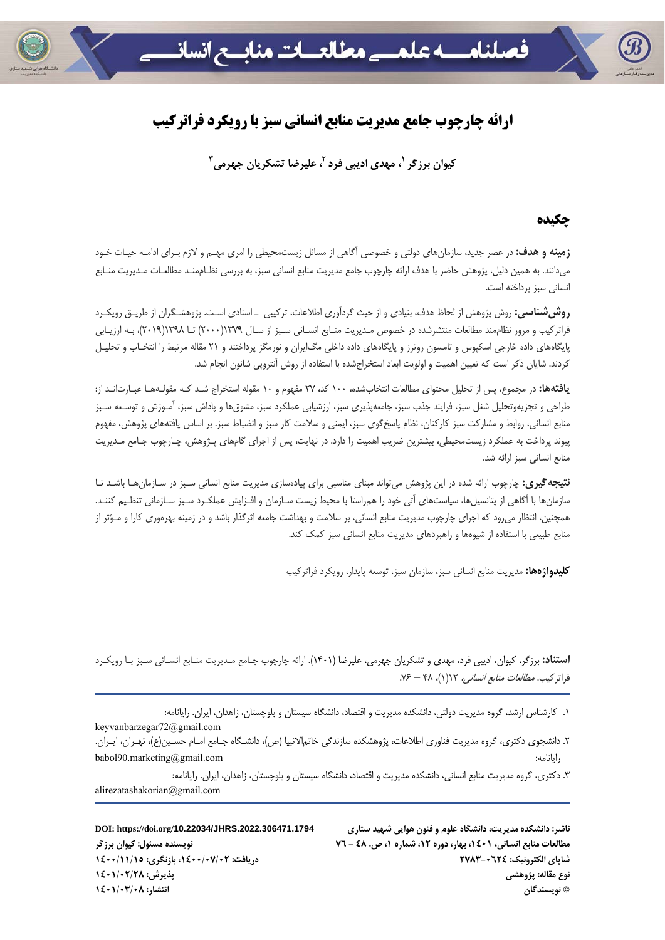

# **ارائه چارچوب جامع مديريت منابع انساني سبز با رويكرد فراتركيب**

**2 ، مهدي اديبي فرد <sup>1</sup> كيوان برزگر <sup>3</sup>، عليرضا تشكريان جهرمي**

#### **چكيده**

**زمينه و هدف:** در عصر جديد، سازمانهاي دولتي و خصوصي آگاهي از مسائل زيستمحيطي را امري مهـم و لازم بـراي ادامـه حيـات خـود ميدانند. به همين دليل، پژوهش حاضر با هدف ارائه چارچوب جامع مديريت منابع انساني سبز، به بررسي نظـاممنـد مطالعـات مـديريت منـابع انساني سبز پرداخته است.

**روششناسي:** روش پژوهش از لحاظ هدف، بنيادي و از حيث گردآوري اطلاعات، تركيبي ـ اسنادي اسـت. پژوهشـگران از طريـق رويكـرد فراتركيب و مرور نظاممند مطالعات منتشرشده در خصوص مـديريت منـابع انسـاني سـبز از سـال 1379(2000) تـا 1398(2019)، بـه ارزيـابي پايگاههاي داده خارجي اسكپوس و تامسون روترز و پايگاههاي داده داخلي مگايران و نورمگز پرداختند و 21 مقاله مرتبط را انتخـاب و تحليـل كردند. شايان ذكر است كه تعيين اهميت و اولويت ابعاد استخراجشده با استفاده از روش آنتروپي شانون انجام شد.

**يافتهها:** در مجموع، پس از تحليل محتواي مطالعات انتخابشده، 100 كد، 27 مفهوم و 10 مقوله استخراج شـد كـه مقولـههـا عبـارتانـد از: طراحي و تجزيهوتحليل شغل سبز، فرايند جذب سبز، جامعهپذيري سبز، ارزشيابي عملكرد سبز، مشوقها و پاداش سبز، آمـوزش و توسـعه سـبز منابع انساني، روابط و مشاركت سبز كاركنان، نظام پاسخگوي سبز، ايمني و سلامت كار سبز و انضباط سبز. بر اساس يافتههاي پژوهش، مفهوم پيوند پرداخت به عملكرد زيستمحيطي، بيشترين ضريب اهميت را دارد. در نهايت، پس از اجراي گامهاي پـژوهش، چـارچوب جـامع مـديريت منابع انساني سبز ارائه شد.

**نتيجهگيري:** چارچوب ارائه شده در اين پژوهش ميتواند مبناي مناسبي براي پيادهسازي مديريت منابع انساني سـبز در سـازمانهـا باشـد تـا سازمانها با آگاهي از پتانسيلها، سياستهاي آتي خود را همراستا با محيط زيست سـازمان و افـزايش عملكـرد سـبز سـازماني تنظـيم كننـد. همچنين، انتظار ميرود كه اجراي چارچوب مديريت منابع انساني، بر سلامت و بهداشت جامعه اثرگذار باشد و در زمينه بهرهوري كارا و مـؤثر از منابع طبيعي با استفاده از شيوهها و راهبردهاي مديريت منابع انساني سبز كمك كند.

**كليدواژهها:** مديريت منابع انساني سبز، سازمان سبز، توسعه پايدار، رويكرد فراتركيب

**استناد:** برزگر، كيوان، اديبي فرد، مهدي و تشكريان جهرمي، عليرضا (1401). ارائه چارچوب جـامع مـديريت منـابع انسـاني سـبز بـا رويكـرد  $Y^2 - \gamma$ فراتركيب. *مطالعات منابع انساني،* ١١٢(١)، ٢٨ – ٧۶.

.1 كارشناس ارشد، گروه مديريت دولتي، دانشكده مديريت و اقتصاد، دانشگاه سيستان و بلوچستان، زاهدان، ايران. رايانامه:

.2 دانشجوي دكتري، گروه مديريت فناوري اطلاعات، پژوهشكده سازندگي خاتمالانبيا (ص)، دانشـگاه جـامع امـام حسـين(ع)، تهـران، ايـران. babol90.marketing@gmail.com :رايانامه

.3 دكتري، گروه مديريت منابع انساني، دانشكده مديريت و اقتصاد، دانشگاه سيستان و بلوچستان، زاهدان، ايران. رايانامه: alirezatashakorian@gmail.com

ناشر: دانشکده مدیریت، دانشگاه علوم و فنون هوایی شهید ستاری DOI: https://doi.org/10.22034/JHRS.2022.306471.1794 **© نويسندگان انتشار: 1401/03/08**

keyvanbarzegar72@gmail.com

مطالعات منابع انسانی، ۱۶۰۱، بهار، دوره ۱۲، شماره ۱، ص. ٤٨ - ٧٦ - - ٧٦ - - - - - - - - - - - نويسنده مسئول: كيوان برزگر **شاپاي الكترونيك: 2783-0624 دريافت: ،1400/07/02 بازنگري: 1400/11/15 نوع مقاله: پژوهشي پذيرش: 1401/02/28**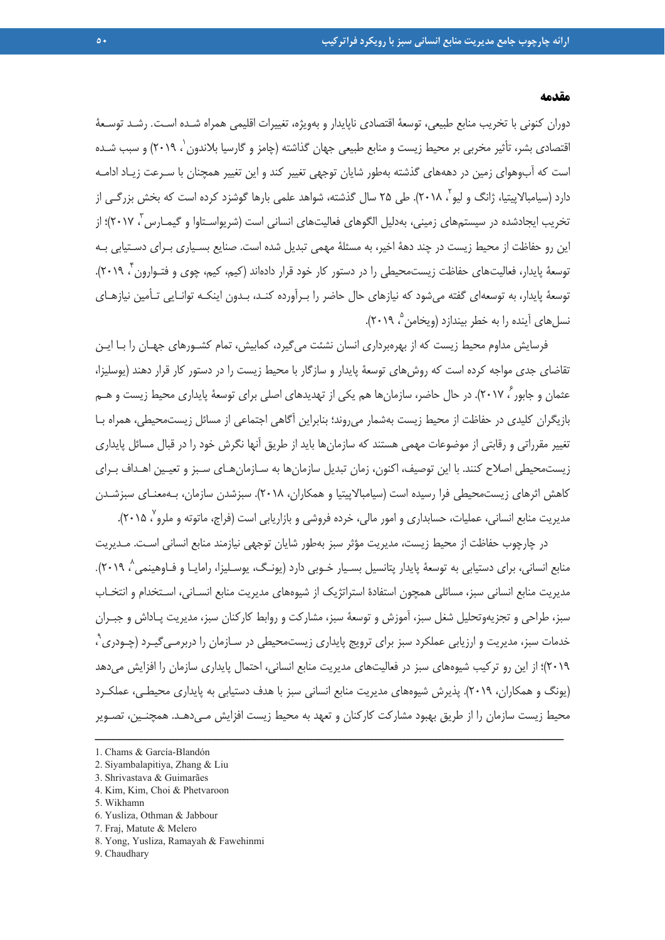#### **مقدمه**

دوران كنوني با تخريب منابع طبيعي، توسعة اقتصادي ناپايدار و بهويژه، تغييرات اقليمي همراه شـده اسـت. رشـد توسـعة اقتصادي بشر، تأثير مخربي بر محيط زيست و منابع طبيعي جهان گذاشته (چامز و گارسيا بلاندون`، ٢٠١٩) و سبب شـده است كه آبوهواي زمين در دهههاي گذشته بهطور شايان توجهي تغيير كند و اين تغيير همچنان با سـرعت زيـاد ادامـه دارد (سيامبالاپيتيا، ژانگ و ليو ، ۲۰۱۸). طي ۲۵ سال گذشته، شواهد علمي بارها گوشزد كرده است كه بخش بزرگـي از تخريب ايجادشده در سيستمهاي زميني، بهدليل الگوهاي فعاليتهاي انساني است (شريواسـتاوا و گيمـارس ، ٢٠١٧)؛ از اين رو حفاظت از محيط زيست در چند دهة اخير، به مسئلة مهمي تبديل شده است. صنايع بسـياري بـراي دسـتيابي بـه توسعهٔ پايدار، فعاليتهاي حفاظت زيستمحيطي را در دستور كار خود قرار دادهاند (كيم، كيم، چوي و فتـوارون ً، ٢٠١٩). توسعة پايدار، به توسعهاي گفته ميشود كه نيازهاي حال حاضر را بـرآورده كنـد، بـدون اينكـه توانـايي تـأمين نيازهـاي نسل هاي آينده را به خطر بيندازد (ويخامن<sup>م ٢٠١٩</sup>).

فرسايش مداوم محيط زيست كه از بهرهبرداري انسان نشئت ميگيرد، كمابيش، تمام كشـورهاي جهـان را بـا ايـن تقاضاي جدي مواجه كرده است كه روشهاي توسعة پايدار و سازگار با محيط زيست را در دستور كار قرار دهند (يوسليزا، عثمان و جابور ً، ۲۰۱۷). در حال حاضر، سازمانها هم يكي از تهديدهاي اصلي براي توسعهٔ پايداري محيط زيست و هــم بازيگران كليدي در حفاظت از محيط زيست بهشمار ميروند؛ بنابراين آگاهي اجتماعي از مسائل زيستمحيطي، همراه بـا تغيير مقرراتي و رقابتي از موضوعات مهمي هستند كه سازمانها بايد از طريق آنها نگرش خود را در قبال مسائل پايداري زيستمحيطي اصلاح كنند. با اين توصيف، اكنون، زمان تبديل سازمانها به سـازمانهـاي سـبز و تعيـين اهـداف بـراي كاهش اثرهاي زيستمحيطي فرا رسيده است (سيامبالاپيتيا و همكاران، 2018). سبزشدن سازمان، بـهمعنـاي سبزشـدن مديريت منابع انسانى، عمليات، حسابدارى و امور مالى، خرده فروشى و بازاريابى است (فراج، ماتوته و ملرو<sup>٧</sup> ٢٠١۵).

در چارچوب حفاظت از محيط زيست، مديريت مؤثر سبز بهطور شايان توجهي نيازمند منابع انساني اسـت. مـديريت منابع انساني، براي دستيابي به توسعهٔ پايدار پتانسيل بسـيار خـوبي دارد (يونـگ، يوسـليزا، رامايـا و فـاوهينمي^ ٢٠١٩). مديريت منابع انساني سبز، مسائلي همچون استفادة استراتژيك از شيوههاي مديريت منابع انسـاني، اسـتخدام و انتخـاب سبز، طراحي و تجزيهوتحليل شغل سبز، آموزش و توسعة سبز، مشاركت و روابط كاركنان سبز، مديريت پـاداش و جبـران خدمات سبز، مديريت و ارزيابي عملكرد سبز براي ترويج پايداري زيستمحيطي در سـازمان را دربرمـي٤يـرد (چـودري<sup>۹</sup> ، 2019)؛ از اين رو تركيب شيوههاي سبز در فعاليتهاي مديريت منابع انساني، احتمال پايداري سازمان را افزايش ميدهد (يونگ و همكاران، 2019). پذيرش شيوههاي مديريت منابع انساني سبز با هدف دستيابي به پايداري محيطـي، عملكـرد محيط زيست سازمان را از طريق بهبود مشاركت كاركنان و تعهد به محيط زيست افزايش مـيدهـد. همچنـين، تصـوير

- 1. Chams & García-Blandón
- 2. Siyambalapitiya, Zhang & Liu
- 3. Shrivastava & Guimarães
- 4. Kim, Kim, Choi & Phetvaroon
- 5. Wikhamn
- 6. Yusliza, Othman & Jabbour
- 7. Fraj, Matute & Melero
- 8. Yong, Yusliza, Ramayah & Fawehinmi
- 9. Chaudhary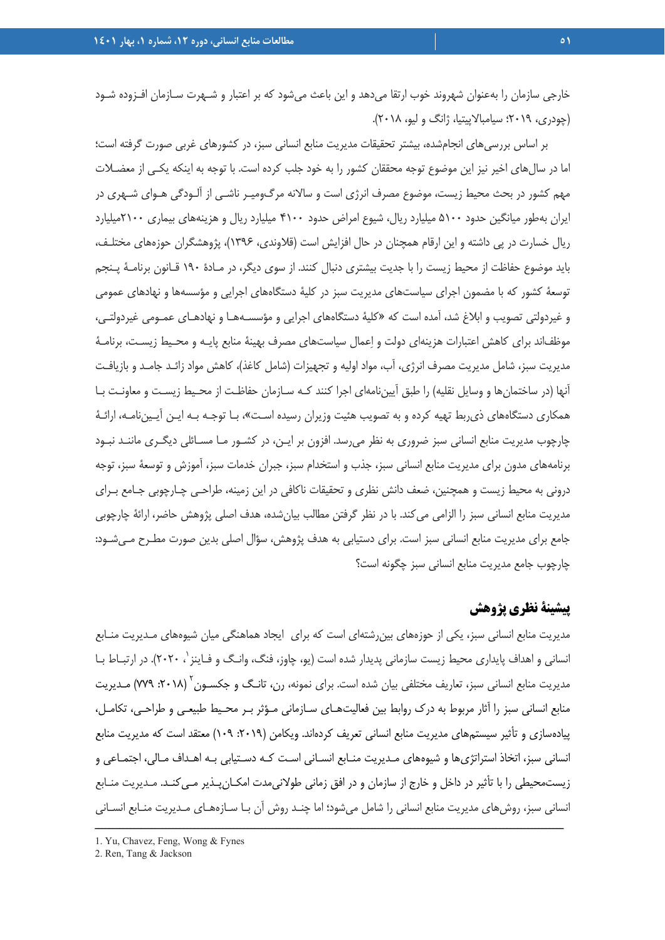خارجي سازمان را بهعنوان شهروند خوب ارتقا ميدهد و اين باعث ميشود كه بر اعتبار و شـهرت سـازمان افـزوده شـود (چودري، 2019؛ سيامبالاپيتيا، ژانگ و ليو، 2018).

بر اساس بررسيهاي انجامشده، بيشتر تحقيقات مديريت منابع انساني سبز، در كشورهاي غربي صورت گرفته است؛ اما در سالهاي اخير نيز اين موضوع توجه محققان كشور را به خود جلب كرده است. با توجه به اينكه يكـي از معضـلات مهم كشور در بحث محيط زيست، موضوع مصرف انرژي است و سالانه مرگوميـر ناشـي از آلـودگي هـواي شـهري در ايران بهطور ميانگين حدود 5100 ميليارد ريال، شيوع امراض حدود 4100 ميليارد ريال و هزينههاي بيماري 2100ميليارد ريال خسارت در پي داشته و اين ارقام همچنان در حال افزايش است (قلاوندي، 1396)، پژوهشگران حوزههاي مختلـف، بايد موضوع حفاظت از محيط زيست را با جديت بيشتري دنبال كنند. از سوي ديگر، در مـادة 190 قـانون برنامـة پـنجم توسعة كشور كه با مضمون اجراي سياستهاي مديريت سبز در كلية دستگاههاي اجرايي و مؤسسهها و نهادهاي عمومي و غيردولتي تصويب و ابلاغ شد، آمده است كه «كلية دستگاههاي اجرايي و مؤسسـههـا و نهادهـاي عمـومي غيردولتـي، موظفاند براي كاهش اعتبارات هزينهاي دولت و اعمال سياستهاي مصرف بهينة منابع پايـه و محـيط زيسـت، برنامـة مديريت سبز، شامل مديريت مصرف انرژي، آب، مواد اوليه و تجهيزات (شامل كاغذ)، كاهش مواد زائـد جامـد و بازيافـت آنها (در ساختمانها و وسايل نقليه) را طبق آييننامهاي اجرا كنند كـه سـازمان حفاظـت از محـيط زيسـت و معاونـت بـا همكاري دستگاههاي ذيربط تهيه كرده و به تصويب هئيت وزيران رسيده اسـت»، بـا توجـه بـه ايـن آيـيننامـه، ارائـة چارچوب مديريت منابع انساني سبز ضروري به نظر ميرسد. افزون بر ايـن، در كشـور مـا مسـائلي ديگـري ماننـد نبـود برنامههاي مدون براي مديريت منابع انساني سبز، جذب و استخدام سبز، جبران خدمات سبز، آموزش و توسعة سبز، توجه دروني به محيط زيست و همچنين، ضعف دانش نظري و تحقيقات ناكافي در اين زمينه، طراحـي چـارچوبي جـامع بـراي مديريت منابع انساني سبز را الزامي ميكند. با در نظر گرفتن مطالب بيانشده، هدف اصلي پژوهش حاضر، ارائة چارچوبي جامع براي مديريت منابع انساني سبز است. براي دستيابي به هدف پژوهش، سؤال اصلي بدين صورت مطـرح مـيشـود: چارچوب جامع مديريت منابع انساني سبز چگونه است؟

# **پيشينة نظري پژوهش**

مديريت منابع انساني سبز، يكي از حوزههاي بينرشتهاي است كه براي ايجاد هماهنگي ميان شيوههاي مـديريت منـابع انساني و اهداف پايداري محيط زيست سازماني پديدار شده است (يو، چاوز، فنگ، وانـگ و فـاينز `، ۲۰۲۰). در ارتبـاط بـا مديريت منابع انسانى سبز، تعاريف مختلفى بيان شده است. براى نمونه، رن، تانـگ و جكسـون<sup>٬</sup> (۲۰۱۸: ۷۷۹) مـديريت منابع انساني سبز را آثار مربوط به درك روابط بين فعاليتهـاي سـازماني مـؤثر بـر محـيط طبيعـي و طراحـي، تكامـل، پيادهسازي و تأثير سيستمهاي مديريت منابع انساني تعريف كردهاند. ويكامن (٢٠١٩: ١٠٩) معتقد است كه مديريت منابع انساني سبز، اتخاذ استراتژيها و شيوههاي مـديريت منـابع انسـاني اسـت كـه دسـتيابي بـه اهـداف مـالي، اجتمـاعي و زيستمحيطي را با تأثير در داخل و خارج از سازمان و در افق زماني طولانيمدت امكـانپـذير مـيكنـد. مـديريت منـابع انساني سبز، روشهاي مديريت منابع انساني را شامل ميشود؛ اما چنـد روش آن بـا سـازههـاي مـديريت منـابع انسـاني ــــــــــــــــــــــــــــــــــــــــــــــــــــــــــــــــــــــــــــــــــــــــــــــــــــــــــــــــــــــــــــــــــــ

<sup>1.</sup> Yu, Chavez, Feng, Wong & Fynes

<sup>2.</sup> Ren, Tang & Jackson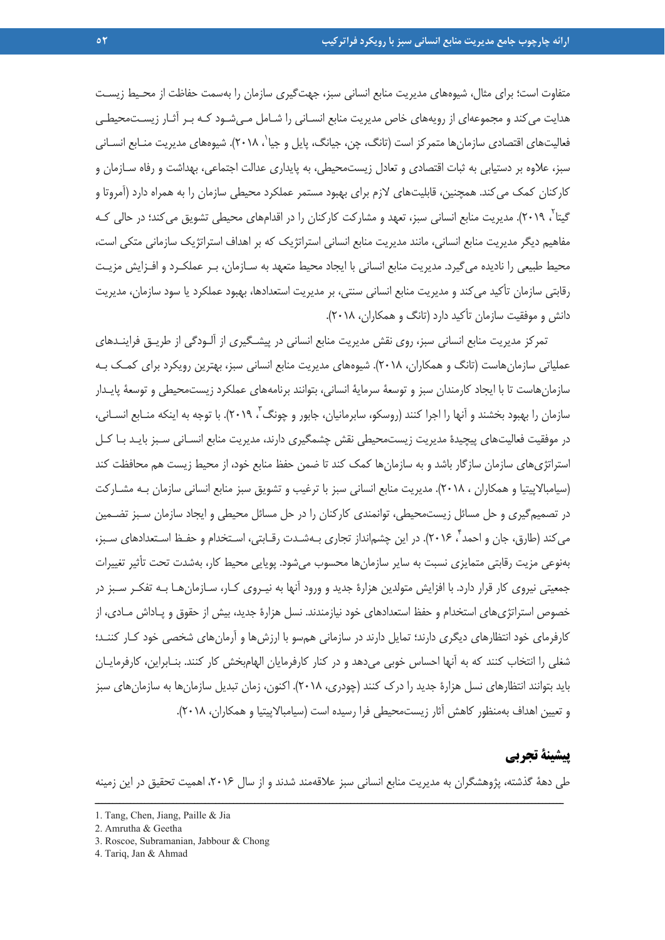متفاوت است؛ براي مثال، شيوههاي مديريت منابع انساني سبز، جهتگيري سازمان را بهسمت حفاظت از محـيط زيسـت هدايت ميكند و مجموعهاي از رويههاي خاص مديريت منابع انسـاني را شـامل مـيشـود كـه بـر آثـار زيسـتمحيطـي فعاليتهاي اقتصادي سازمانها متمركز است (تانگ، چن، جيانگ، يايل و جيا`، ٢٠١٨). شيوههاي مديريت منــابع انســاني سبز، علاوه بر دستيابي به ثبات اقتصادي و تعادل زيستمحيطي، به پايداري عدالت اجتماعي، بهداشت و رفاه سـازمان و كاركنان كمك مي كند. همچنين، قابليتهاي لازم براي بهبود مستمر عملكرد محيطي سازمان را به همراه دارد (آمروتا و گيتا<sup>۲</sup>، ۲۰۱۹). مديريت منابع انساني سبز، تعهد و مشاركت كاركنان را در اقدامهاي محيطي تشويق ميكند؛ در حالي كـه مفاهيم ديگر مديريت منابع انساني، مانند مديريت منابع انساني استراتژيك كه بر اهداف استراتژيك سازماني متكي است، محيط طبيعي را ناديده ميگيرد. مديريت منابع انساني با ايجاد محيط متعهد به سـازمان، بـر عملكـرد و افـزايش مزيـت رقابتي سازمان تأكيد ميكند و مديريت منابع انساني سنتي، بر مديريت استعدادها، بهبود عملكرد يا سود سازمان، مديريت دانش و موفقيت سازمان تأكيد دارد (تانگ و همكاران، 2018).

تمركز مديريت منابع انساني سبز، روي نقش مديريت منابع انساني در پيشـگيري از آلـودگي از طريـق فراينـدهاي عملياتي سازمان هاست (تانگ و همكاران، ٢٠١٨). شيوههاي مديريت منابع انساني سبز، بهترين رويكرد براي كمـك بـه سازمانهاست تا با ايجاد كارمندان سبز و توسعة سرماية انساني، بتوانند برنامههاي عملكرد زيستمحيطي و توسعة پايـدار سازمان را بهبود بخشند و آنها را اجرا كنند (روسكو، سابرمانيان، جابور و چونگ<sup>7</sup>، ۲۰۱۹). با توجه به اينكه منـابع انســاني، در موفقيت فعاليتهاي پيچيدة مديريت زيستمحيطي نقش چشمگيري دارند، مديريت منابع انسـاني سـبز بايـد بـا كـل استراتژيهاي سازمان سازگار باشد و به سازمانها كمك كند تا ضمن حفظ منابع خود، از محيط زيست هم محافظت كند (سيامبالاپيتيا و همكاران ، 2018). مديريت منابع انساني سبز با ترغيب و تشويق سبز منابع انساني سازمان بـه مشـاركت در تصميمگيري و حل مسائل زيستمحيطي، توانمندي كاركنان را در حل مسائل محيطي و ايجاد سازمان سـبز تضـمين می كند (طارق، جان و احمد ً، ۲۰۱۶). در اين چشم|نداز تجاری بـهشـدت رقـابتی، اسـتخدام و حفـظ اسـتعدادهای سـبز، بهنوعي مزيت رقابتي متمايزي نسبت به ساير سازمانها محسوب ميشود. پويايي محيط كار، بهشدت تحت تأثير تغييرات جمعيتي نيروي كار قرار دارد. با افزايش متولدين هزارة جديد و ورود آنها به نيـروي كـار، سـازمانهـا بـه تفكـر سـبز در خصوص استراتژيهاي استخدام و حفظ استعدادهاي خود نيازمندند. نسل هزارة جديد، بيش از حقوق و پـاداش مـادي، از كارفرماي خود انتظارهاي ديگري دارند؛ تمايل دارند در سازماني همسو با ارزشها و آرمانهاي شخصي خود كـار كننـد؛ شغلي را انتخاب كنند كه به آنها احساس خوبي ميدهد و در كنار كارفرمايان الهامبخش كار كنند. بنـابراين، كارفرمايـان بايد بتوانند انتظارهاي نسل هزارة جديد را درك كنند (چودري، 2018). اكنون، زمان تبديل سازمانها به سازمانهاي سبز و تعيين اهداف بهمنظور كاهش آثار زيستمحيطي فرا رسيده است (سيامبالاپيتيا و همكاران، 2018).

# **پيشينة تجربي**

طي دهة گذشته، پژوهشگران به مديريت منابع انساني سبز علاقهمند شدند و از سال ،2016 اهميت تحقيق در اين زمينه ــــــــــــــــــــــــــــــــــــــــــــــــــــــــــــــــــــــــــــــــــــــــــــــــــــــــــــــــــــــــــــــــــــ

<sup>1.</sup> Tang, Chen, Jiang, Paille & Jia

<sup>2.</sup> Amrutha & Geetha

<sup>3.</sup> Roscoe, Subramanian, Jabbour & Chong

<sup>4.</sup> Tariq, Jan & Ahmad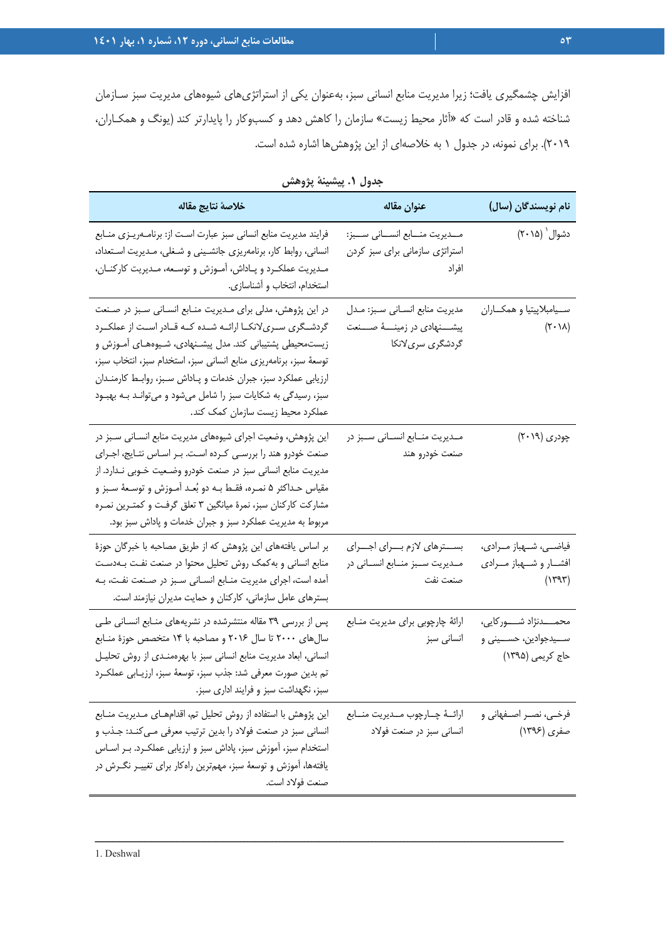افزايش چشمگيري يافت؛ زيرا مديريت منابع انساني سبز، بهعنوان يكي از استراتژيهاي شيوههاي مديريت سبز سـازمان شناخته شده و قادر است كه «آثار محيط زيست» سازمان را كاهش دهد و كسبوكار را پايدارتر كند (يونگ و همكـاران، 2019). براي نمونه، در جدول 1 به خلاصهاي از اين پژوهشها اشاره شده است.

| خلاصة نتايج مقاله                                                                                                                                                                                                                                                                                                                                                                                                                          | عنوان مقاله                                                                                | نام نويسندگان (سال)                                                           |
|--------------------------------------------------------------------------------------------------------------------------------------------------------------------------------------------------------------------------------------------------------------------------------------------------------------------------------------------------------------------------------------------------------------------------------------------|--------------------------------------------------------------------------------------------|-------------------------------------------------------------------------------|
| فرایند مدیریت منابع انسانی سبز عبارت است از: برنامـهریـزی منـابع<br>انسانی، روابط کار، برنامهریزی جانشینی و شغلی، مـدیریت اسـتعداد،<br>مـديريت عملكـرد و پــاداش، آمــوزش و توســعه، مــديريت كاركنــان،<br>استخدام، انتخاب و أشناسازي.                                                                                                                                                                                                    | مــديريت منـــابع انســـاني ســـبز:<br>استراتژی سازمانی برای سبز کردن<br>افراد             | دشوال` (۲۰۱۵)                                                                 |
| در این پژوهش، مدلی برای مـدیریت منـابع انسـانی سـبز در صـنعت<br>گردشـگری سـریلانکــا ارائــه شــده کــه قــادر اســت از عملکــرد<br>زیستمحیطی پشتیبانی کند. مدل پیشـنهادی، شـیوههـای آمـوزش و<br>توسعهٔ سبز، برنامهریزی منابع انسانی سبز، استخدام سبز، انتخاب سبز،<br>ارزیابی عملکرد سبز، جبران خدمات و پـاداش سـبز، روابـط کارمنـدان<br>سبز، رسیدگی به شکایات سبز را شامل میشود و میتوانـد بـه بهبـود<br>عملکرد محیط زیست سازمان کمک کند. | مديريت منابع انسـاني سـبز: مـدل<br>پیشــــنهادی در زمینــــهٔ صــــنعت<br>گردشگری سریلانکا | ســيامبلاپيتيا و همكــاران<br>$(Y \cdot \lambda)$                             |
| این پژوهش، وضعیت اجرای شیوههای مدیریت منابع انسـانی سـبز در<br>صنعت خودرو هند را بررسـي كـرده اسـت. بـر اسـاس نتـايج، اجـراي<br>مدیریت منابع انسانی سبز در صنعت خودرو وضـعیت خـوبی نـدارد. از<br>مقیاس حـداکثر ۵ نمـره، فقـط بـه دو بُعـد آمـوزش و توسـعهٔ سـبز و<br>مشارکت کارکنان سبز، نمرۂ میانگین ۳ تعلق گرفت و کمتـرین نمـره<br>مربوط به مدیریت عملکرد سبز و جبران خدمات و پاداش سبز بود.                                             | مـدیریت منـابع انسـانی سـبز در<br>صنعت خودرو هند                                           | چودری (۲۰۱۹)                                                                  |
| بر اساس یافتههای این پژوهش که از طریق مصاحبه با خبرگان حوزهٔ<br>منابع انسانی و به کمک روش تحلیل محتوا در صنعت نفت بــهدسـت<br>آمده است، اجرای مدیریت منـابع انسـانی سـبز در صـنعت نفـت، بـه<br>بسترهای عامل سازمانی، کارکنان و حمایت مدیران نیازمند است.                                                                                                                                                                                   | بسترهای لازم برای اجرای<br>مـدیریت سـبز منـابع انسـانی در<br>صنعت نفت                      | فیاضــي، شــهباز مــرادي،<br>افشار و شهباز مـرادي<br>(1447)                   |
| پس از بررسی ۳۹ مقاله منتشرشده در نشریههای منـابع انسـانی طـی<br>سالهای ۲۰۰۰ تا سال ۲۰۱۶ و مصاحبه با ۱۴ متخصص حوزهٔ منـابع<br>انسانی، ابعاد مدیریت منابع انسانی سبز با بهرهمنـدی از روش تحلیـل<br>تم بدین صورت معرفی شد: جذب سبز، توسعهٔ سبز، ارزیـابی عملکـرد<br>سبز، نگهداشت سبز و فرایند اداری سبز.                                                                                                                                      | ارائهٔ چارچوبی برای مدیریت منابع<br>انسانى سبز                                             | محمـــــدنژاد شــــــور کايي،<br>ســـيدجوادين، حســـيني و<br>حاج کریمی (۱۳۹۵) |
| این پژوهش با استفاده از روش تحلیل تم، اقدامهـای مـدیریت منـابع<br>انسانی سبز در صنعت فولاد را بدین ترتیب معرفی مـیکنـد: جـذب و<br>استخدام سبز، آموزش سبز، پاداش سبز و ارزیابی عملکـرد. بـر اســاس<br>یافتهها، اَموزش و توسعهٔ سبز، مهمترین راهکار برای تغییـر نگــرش در<br>صنعت فولاد است.                                                                                                                                                 | ارائــهٔ چــارچوب مــديريت منــابع<br>انسانی سبز در صنعت فولاد                             | فرخـى، نصــر اصــفهانى و<br>صفری (۱۳۹۶)                                       |

| جدول ١. پيشينهٔ پژوهش |  |  |  |
|-----------------------|--|--|--|
|-----------------------|--|--|--|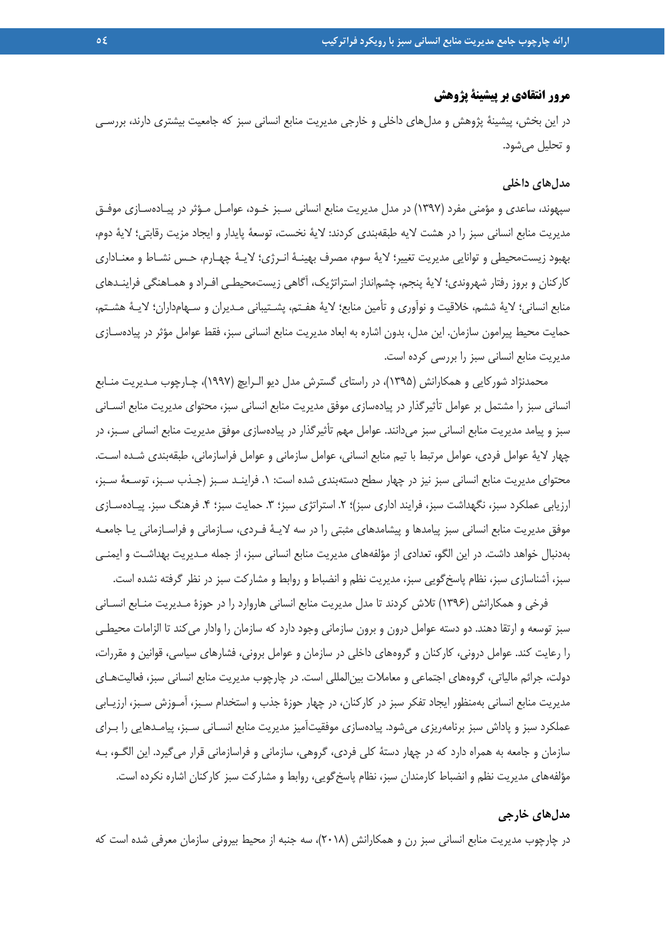### **مرور انتقادي بر پيشينة پژوهش**

در اين بخش، پيشينهٔ پژوهش و مدل هاي داخلي و خارجي مديريت منابع انساني سبز كه جامعيت بيشتري دارند، بررسـي و تحليل ميشود.

#### **مدلهاي داخلي**

سپهوند، ساعدي و مؤمني مفرد (1397) در مدل مديريت منابع انساني سـبز خـود، عوامـل مـؤثر در پيـادهسـازي موفـق مديريت منابع انساني سبز را در هشت لايه طبقهبندي كردند: لاية نخست، توسعة پايدار و ايجاد مزيت رقابتي؛ لاية دوم، بهبود زيستمحيطي و توانايي مديريت تغيير؛ لاية سوم، مصرف بهينـة انـرژي؛ لايـة چهـارم، حـس نشـاط و معنـاداري كاركنان و بروز رفتار شهروندي؛ لاية پنجم، چشمانداز استراتژيك، آگاهي زيستمحيطـي افـراد و همـاهنگي فراينـدهاي منابع انساني؛ لاية ششم، خلاقيت و نوآوري و تأمين منابع؛ لاية هفـتم، پشـتيباني مـديران و سـهامداران؛ لايـة هشـتم، حمايت محيط پيرامون سازمان. اين مدل، بدون اشاره به ابعاد مديريت منابع انساني سبز، فقط عوامل مؤثر در پيادهسـازي مديريت منابع انساني سبز را بررسي كرده است.

محمدنژاد شوركايي و همكارانش (1395)، در راستاي گسترش مدل ديو الـرايچ (1997)، چـارچوب مـديريت منـابع انساني سبز را مشتمل بر عوامل تأثيرگذار در پيادهسازي موفق مديريت منابع انساني سبز، محتواي مديريت منابع انسـاني سبز و پيامد مديريت منابع انساني سبز ميدانند. عوامل مهم تأثيرگذار در پيادهسازي موفق مديريت منابع انساني سـبز، در چهار لاية عوامل فردي، عوامل مرتبط با تيم منابع انساني، عوامل سازماني و عوامل فراسازماني، طبقهبندي شـده اسـت. محتواي مديريت منابع انساني سبز نيز در چهار سطح دستهبندي شده است: .1 فراينـد سـبز (جـذب سـبز، توسـعة سـبز، ارزيابي عملكرد سبز، نگهداشت سبز، فرايند اداري سبز)؛ ۲. استراتژي سبز؛ ۳. حمايت سبز؛ ۴. فرهنگ سبز. پيـادهسـازي موفق مديريت منابع انساني سبز پيامدها و پيشامدهاي مثبتي را در سه لايـة فـردي، سـازماني و فراسـازماني يـا جامعـه بهدنبال خواهد داشت. در اين الگو، تعدادي از مؤلفههاي مديريت منابع انساني سبز، از جمله مـديريت بهداشـت و ايمنـي سبز، آشناسازي سبز، نظام پاسخگويي سبز، مديريت نظم و انضباط و روابط و مشاركت سبز در نظر گرفته نشده است.

فرخي و همكارانش (1396) تلاش كردند تا مدل مديريت منابع انساني هاروارد را در حوزة مـديريت منـابع انسـاني سبز توسعه و ارتقا دهند. دو دسته عوامل درون و برون سازماني وجود دارد كه سازمان را وادار ميكند تا الزامات محيطـي را رعايت كند. عوامل دروني، كاركنان و گروههاي داخلي در سازمان و عوامل بروني، فشارهاي سياسي، قوانين و مقررات، دولت، جرائم مالياتي، گروههاي اجتماعي و معاملات بينالمللي است. در چارچوب مديريت منابع انساني سبز، فعاليتهـاي مديريت منابع انساني بهمنظور ايجاد تفكر سبز در كاركنان، در چهار حوزة جذب و استخدام سـبز، آمـوزش سـبز، ارزيـابي عملكرد سبز و پاداش سبز برنامهريزي ميشود. پيادهسازي موفقيتآميز مديريت منابع انسـاني سـبز، پيامـدهايي را بـراي سازمان و جامعه به همراه دارد كه در چهار دستة كلي فردي، گروهي، سازماني و فراسازماني قرار ميگيرد. اين الگـو، بـه مؤلفههاي مديريت نظم و انضباط كارمندان سبز، نظام پاسخگويي، روابط و مشاركت سبز كاركنان اشاره نكرده است.

#### **مدلهاي خارجي**

در چارچوب مديريت منابع انساني سبز رن و همكارانش (2018)، سه جنبه از محيط بيروني سازمان معرفي شده است كه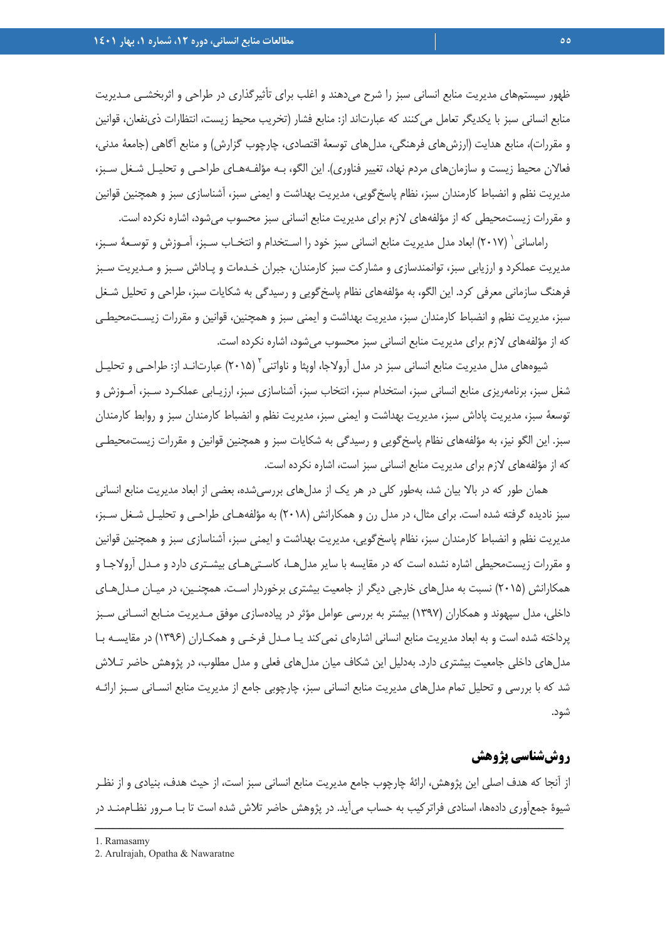ظهور سيستمهاي مديريت منابع انساني سبز را شرح ميدهند و اغلب براي تأثيرگذاري در طراحي و اثربخشـي مـديريت منابع انساني سبز با يكديگر تعامل ميكنند كه عبارتاند از: منابع فشار (تخريب محيط زيست، انتظارات ذينفعان، قوانين و مقررات)، منابع هدايت (ارزشهاي فرهنگي، مدلهاي توسعة اقتصادي، چارچوب گزارش) و منابع آگاهي (جامعة مدني، فعالان محيط زيست و سازمانهاي مردم نهاد، تغيير فناوري). اين الگو، بـه مؤلفـههـاي طراحـي و تحليـل شـغل سـبز، مديريت نظم و انضباط كارمندان سبز، نظام پاسخگويي، مديريت بهداشت و ايمني سبز، آشناسازي سبز و همچنين قوانين و مقررات زيستمحيطي كه از مؤلفههاي لازم براي مديريت منابع انساني سبز محسوب ميشود، اشاره نكرده است.

راماساني ( ٢٠١٧) ابعاد مدل مديريت منابع انساني سبز خود را اسـتخدام و انتخـاب سـبز، آمـوزش و توسـعة سـبز، مديريت عملكرد و ارزيابي سبز، توانمندسازي و مشاركت سبز كارمندان، جبران خـدمات و پـاداش سـبز و مـديريت سـبز فرهنگ سازماني معرفي كرد. اين الگو، به مؤلفههاي نظام پاسخگويي و رسيدگي به شكايات سبز، طراحي و تحليل شـغل سبز، مديريت نظم و انضباط كارمندان سبز، مديريت بهداشت و ايمني سبز و همچنين، قوانين و مقررات زيسـتمحيطـي كه از مؤلفههاي لازم براي مديريت منابع انساني سبز محسوب ميشود، اشاره نكرده است.

شيوههاي مدل مديريت منابع انساني سبز در مدل آرولاجا، اويثا و ناواتني آ (٢٠١۵) عبارتانـد از: طراحـي و تحليـل شغل سبز، برنامهريزي منابع انساني سبز، استخدام سبز، انتخاب سبز، آشناسازي سبز، ارزيـابي عملكـرد سـبز، آمـوزش و توسعة سبز، مديريت پاداش سبز، مديريت بهداشت و ايمني سبز، مديريت نظم و انضباط كارمندان سبز و روابط كارمندان سبز. اين الگو نيز، به مؤلفههاي نظام پاسخگويي و رسيدگي به شكايات سبز و همچنين قوانين و مقررات زيستمحيطـي كه از مؤلفههاي لازم براي مديريت منابع انساني سبز است، اشاره نكرده است.

همان طور كه در بالا بيان شد، بهطور كلي در هر يك از مدلهاي بررسيشده، بعضي از ابعاد مديريت منابع انساني سبز ناديده گرفته شده است. براي مثال، در مدل رن و همكارانش (2018) به مؤلفههـاي طراحـي و تحليـل شـغل سـبز، مديريت نظم و انضباط كارمندان سبز، نظام پاسخگويي، مديريت بهداشت و ايمني سبز، آشناسازي سبز و همچنين قوانين و مقررات زيستمحيطي اشاره نشده است كه در مقايسه با ساير مدلهـا، كاسـتيهـاي بيشـتري دارد و مـدل آرولاجـا و همكارانش (2015) نسبت به مدلهاي خارجي ديگر از جامعيت بيشتري برخوردار اسـت. همچنـين، در ميـان مـدلهـاي داخلي، مدل سپهوند و همكاران (1397) بيشتر به بررسي عوامل مؤثر در پيادهسازي موفق مـديريت منـابع انسـاني سـبز پرداخته شده است و به ابعاد مديريت منابع انساني اشارهاي نميكند يـا مـدل فرخـي و همكـاران (1396) در مقايسـه بـا مدلهاي داخلي جامعيت بيشتري دارد. بهدليل اين شكاف ميان مدلهاي فعلي و مدل مطلوب، در پژوهش حاضر تـلاش شد كه با بررسي و تحليل تمام مدلهاي مديريت منابع انساني سبز، چارچوبي جامع از مديريت منابع انسـاني سـبز ارائـه شود.

## **روششناسي پژوهش**

از آنجا كه هدف اصلي اين پژوهش، ارائة چارچوب جامع مديريت منابع انساني سبز است، از حيث هدف، بنيادي و از نظـر شيوة جمعآوري دادهها، اسنادي فراتركيب به حساب ميآيد. در پژوهش حاضر تلاش شده است تا بـا مـرور نظـاممنـد در

<sup>1.</sup> Ramasamy

<sup>2.</sup> Arulrajah, Opatha & Nawaratne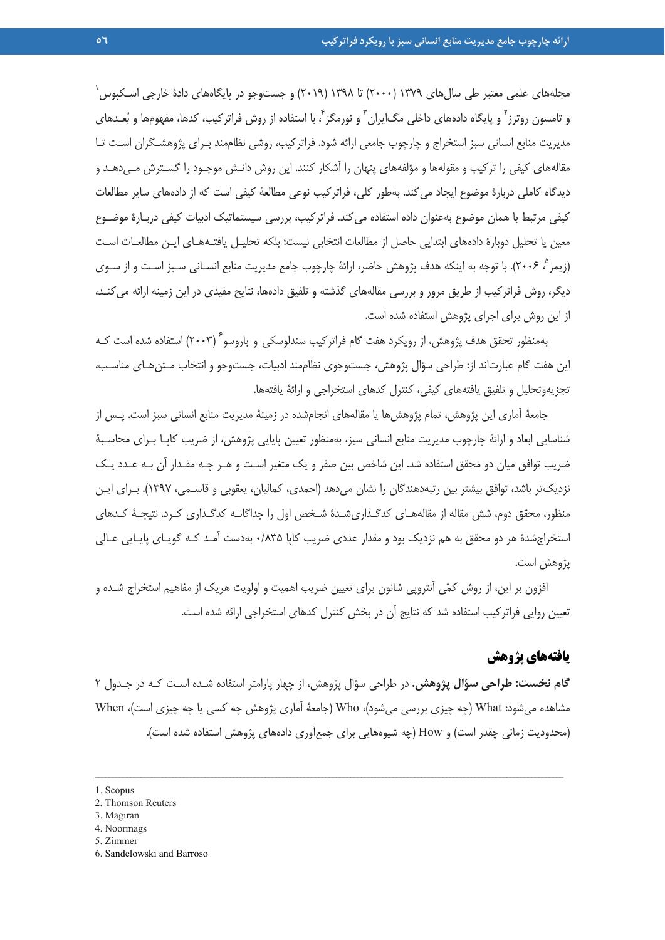1 مجلههاي علمي معتبر طي سالهاي 1379 (2000) تا 1398 (2019) و جستوجو در پايگاههاي دادة خارجي اسـكپوس و تامسون روترز<sup>۲</sup> و پایگاه دادههای داخلی مگ|یران ّ و نورمگز ٔ، با استفاده از روش فراترکیب، کدها، مفهومها و بُعـدهای مديريت منابع انساني سبز استخراج و چارچوب جامعي ارائه شود. فراتركيب، روشي نظاممند بـراي پژوهشـگران اسـت تـا مقالههاي كيفي را تركيب و مقولهها و مؤلفههاي پنهان را آشكار كنند. اين روش دانـش موجـود را گسـترش مـيدهـد و ديدگاه كاملي دربارة موضوع ايجاد ميكند. بهطور كلي، فراتركيب نوعي مطالعة كيفي است كه از دادههاي ساير مطالعات كيفي مرتبط با همان موضوع بهعنوان داده استفاده ميكند. فراتركيب، بررسي سيستماتيك ادبيات كيفي دربـارة موضـوع معين يا تحليل دوبارة دادههاي ابتدايي حاصل از مطالعات انتخابي نيست؛ بلكه تحليـل يافتـههـاي ايـن مطالعـات اسـت (زيمر ؓ، ٢٠٠۶). با توجه به اينكه هدف پژوهش حاضر، ارائهٔ چارچوب جامع مديريت منابع انسـاني سـبز اسـت و از سـوي 5 ديگر، روش فراتركيب از طريق مرور و بررسي مقالههاي گذشته و تلفيق دادهها، نتايج مفيدي در اين زمينه ارائه مي كنـد، از اين روش براي اجراي پژوهش استفاده شده است.

بهمنظور تحقق هدف پژوهش، از رويكرد هفت گام فراتركيب سندلوسكي و باروسو (2003) استفاده شده است كـه <sup>6</sup> اين هفت گام عبارتاند از: طراحي سؤال پژوهش، جستوجوي نظاممند ادبيات، جستوجو و انتخاب مـتنهـاي مناسـب، تجزيهوتحليل و تلفيق يافتههاي كيفي، كنترل كدهاي استخراجي و ارائة يافتهها.

جامعة آماري اين پژوهش، تمام پژوهشها يا مقالههاي انجامشده در زمينة مديريت منابع انساني سبز است. پـس از شناسايي ابعاد و ارائة چارچوب مديريت منابع انساني سبز، بهمنظور تعيين پايايي پژوهش، از ضريب كاپـا بـراي محاسـبة ضريب توافق ميان دو محقق استفاده شد. اين شاخص بين صفر و يك متغير اسـت و هـر چـه مقـدار آن بـه عـدد يـك نزديكتر باشد، توافق بيشتر بين رتبهدهندگان را نشان ميدهد (احمدي، كماليان، يعقوبي و قاسـمي، 1397). بـراي ايـن منظور، محقق دوم، شش مقاله از مقالههـاي كدگـذاريشـدة شـخص اول را جداگانـه كدگـذاري كـرد. نتيجـة كـدهاي استخراجشدة هر دو محقق به هم نزديك بود و مقدار عددي ضريب كاپا 0/835 بهدست آمـد كـه گويـاي پايـايي عـالي پژوهش است.

افزون بر اين، از روش كمي آنتروپي شانون براي تعيين ضريب اهميت و اولويت هريك از مفاهيم استخراج شـده و تعيين روايي فراتركيب استفاده شد كه نتايج آن در بخش كنترل كدهاي استخراجي ارائه شده است.

### **يافتههاي پژوهش**

**گام نخست: طراحي سؤال پژوهش.** در طراحي سؤال پژوهش، از چهار پارامتر استفاده شـده اسـت كـه در جـدول 2 مشاهده ميشود: What) چه چيزي بررسي ميشود)، Who) جامعة آماري پژوهش چه كسي يا چه چيزي است)، When (محدوديت زماني چقدر است) و How) چه شيوههايي براي جمعآوري دادههاي پژوهش استفاده شده است).

- 4. Noormags
- 5. Zimmer
- 6. Sandelowski and Barroso

<sup>1 .</sup> Scopus

<sup>2 .</sup> Thomson Reuters

<sup>3.</sup> Magiran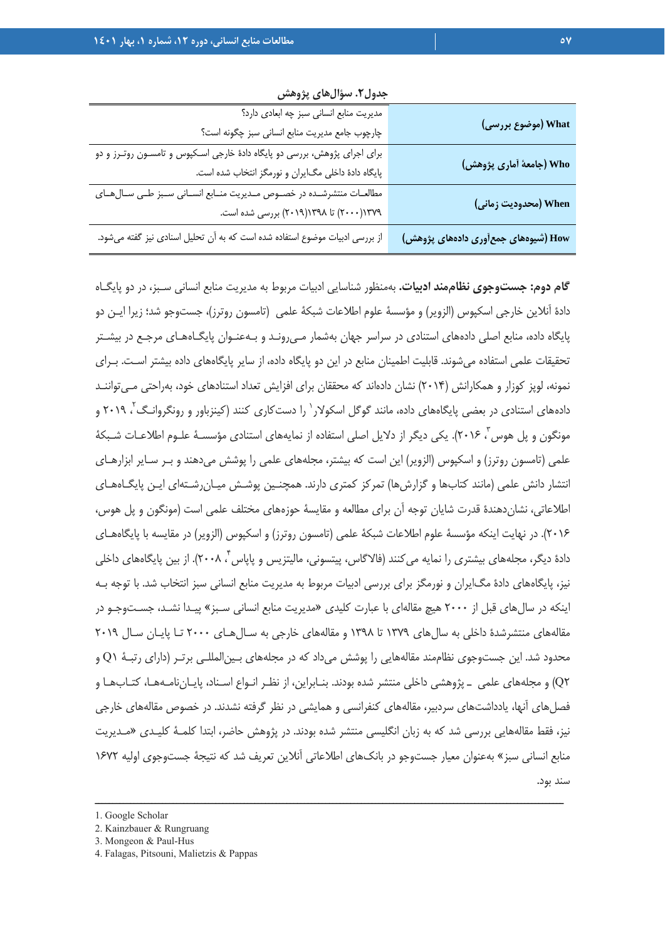|                                     | جدول ۰. سوالهای پژوهش                                                       |
|-------------------------------------|-----------------------------------------------------------------------------|
|                                     | مدیریت منابع انسانی سبز چه ابعادی دارد؟                                     |
| What (موضوع بررسی)                  | چارچوب جامع مدیریت منابع انسانی سبز چگونه است؟                              |
|                                     | برای اجرای پژوهش، بررسی دو پایگاه دادهٔ خارجی اسـکپوس و تامسـون روتـرز و دو |
| Who (جامعهٔ أماری پژوهش)            | پایگاه دادهٔ داخلی مگایران و نورمگز انتخاب شده است.                         |
|                                     | مطالعات منتشرشـده در خصـوص مـديريت منـابع انسـاني سـبز طـى سـالهـاى         |
| When (محدودیت زمانی)                | ۲۰۰۰)۱۳۷۹ (۲۰۰۰) تا ۱۳۹۸(۲۰۱۹) بررسی شده است.                               |
| How (شیوههای جمعأوری دادههای پژوهش) | از بررسی ادبیات موضوع استفاده شده است که به آن تحلیل اسنادی نیز گفته میشود. |

**جدول.2 سؤالهاي پژوهش**

**گام دوم: جستوجوي نظاممند ادبيات.** بهمنظور شناسايي ادبيات مربوط به مديريت منابع انساني سـبز، در دو پايگـاه دادة آنلاين خارجي اسكپوس (الزوير) و مؤسسة علوم اطلاعات شبكة علمي (تامسون روترز)، جستوجو شد؛ زيرا ايـن دو پايگاه داده، منابع اصلي دادههاي استنادي در سراسر جهان بهشمار مـيرونـد و بـهعنـوان پايگـاههـاي مرجـع در بيشـتر تحقيقات علمي استفاده ميشوند. قابليت اطمينان منابع در اين دو پايگاه داده، از ساير پايگاههاي داده بيشتر اسـت. بـراي نمونه، لوپز كوزار و همكارانش (2014) نشان دادهاند كه محققان براي افزايش تعداد استنادهاي خود، بهراحتي مـيتواننـد دادههای استنادی در بعضی پایگاههای داده، مانند گوگل اسکولار` را دستکاری کنند (کینزباور و رونگروانـگ<sup>۲</sup>، ۲۰۱۹ و مونگون و پل هوس ب ٢٠١۶). يكي ديگر از دلايل اصلي استفاده از نمايههاي استنادي مؤسسـهٔ علـوم اطلاعـات شـبكهٔ علمي (تامسون روترز) و اسكپوس (الزوير) اين است كه بيشتر، مجلههاي علمي را پوشش ميدهند و بـر سـاير ابزارهـاي انتشار دانش علمي (مانند كتابها و گزارشها) تمركز كمتري دارند. همچنـين پوشـش ميـانرشـتهاي ايـن پايگـاههـاي اطلاعاتي، نشاندهندة قدرت شايان توجه آن براي مطالعه و مقايسة حوزههاي مختلف علمي است (مونگون و پل هوس، 2016). در نهايت اينكه مؤسسة علوم اطلاعات شبكة علمي (تامسون روترز) و اسكپوس (الزوير) در مقايسه با پايگاههـاي دادهٔ دیگر، مجلههاي بیشتري را نمایه می کنند (فالاگاس، پیتسونی، مالیتزیس و پاپاس ، ۲۰۰۸). از بین پاپگاههاي داخلي نيز، پايگاههاي دادة مگايران و نورمگز براي بررسي ادبيات مربوط به مديريت منابع انساني سبز انتخاب شد. با توجه بـه اينكه در سالهاي قبل از 2000 هيچ مقالهاي با عبارت كليدي «مديريت منابع انساني سـبز» پيـدا نشـد، جسـتوجـو در مقالههاي منتشرشدة داخلي به سالهاي 1379 تا 1398 و مقالههاي خارجي به سـالهـاي 2000 تـا پايـان سـال 2019 محدود شد. اين جستوجوي نظاممند مقالههايي را پوشش ميداد كه در مجلههاي بـينالمللـي برتـر (داراي رتبـة 1Q و 2Q (و مجلههاي علمي ـ پژوهشي داخلي منتشر شده بودند. بنـابراين، از نظـر انـواع اسـناد، پايـاننامـههـا، كتـابهـا و فصلهاي آنها، يادداشتهاي سردبير، مقالههاي كنفرانسي و همايشي در نظر گرفته نشدند. در خصوص مقالههاي خارجي نيز، فقط مقالههايي بررسي شد كه به زبان انگليسي منتشر شده بودند. در پژوهش حاضر، ابتدا كلمـة كليـدي «مـديريت منابع انساني سبز» بهعنوان معيار جستوجو در بانكهاي اطلاعاتي آنلاين تعريف شد كه نتيجة جستوجوي اوليه 1672 سند بود.

<sup>2.</sup> Kainzbauer & Rungruang

<sup>3.</sup> Mongeon & Paul-Hus

<sup>4.</sup> Falagas, Pitsouni, Malietzis & Pappas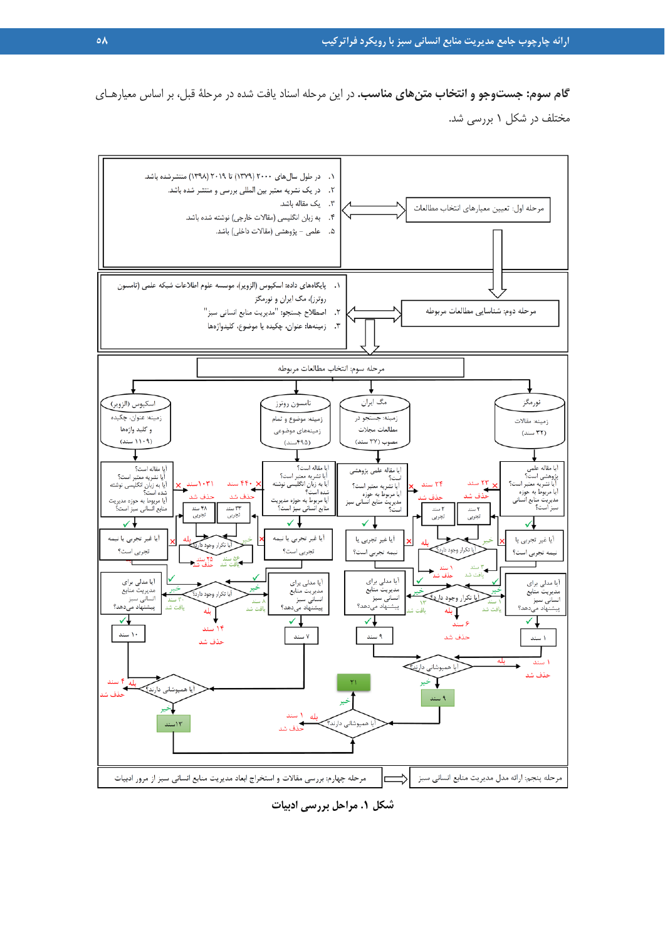**گام سوم: جستوجو و انتخاب متنهاي مناسب.** در اين مرحله اسناد يافت شده در مرحلة قبل، بر اساس معيارهـاي مختلف در شكل 1 بررسي شد.



**شكل .1 مراحل بررسي ادبيات**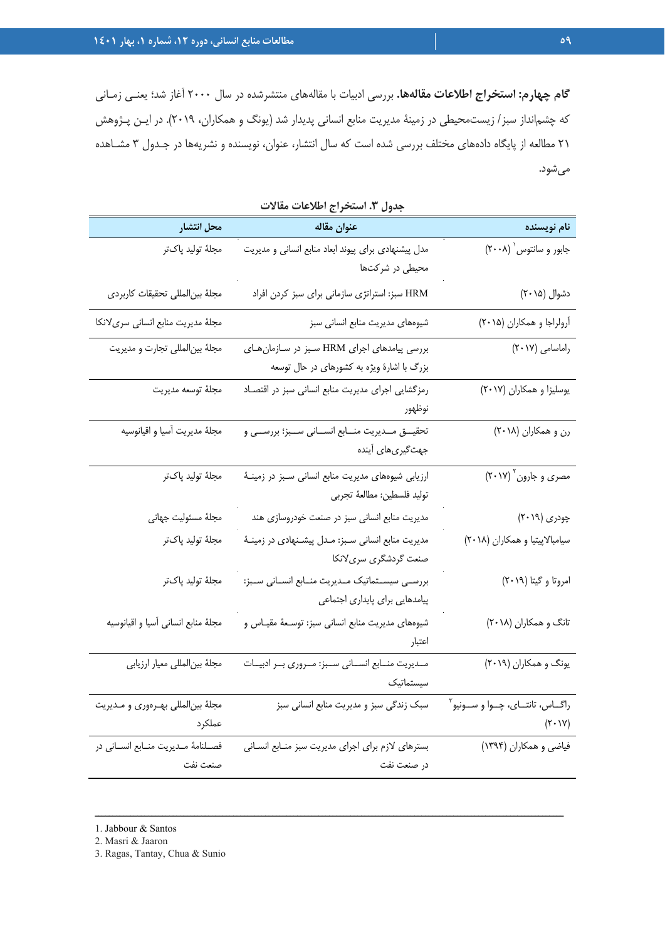**گام چهارم: استخراج اطلاعات مقالهها.** بررسي ادبيات با مقالههاي منتشرشده در سال 2000 آغاز شد؛ يعنـي زمـاني كه چشمانداز سبز/ زيستمحيطي در زمينة مديريت منابع انساني پديدار شد (يونگ و همكاران، 2019). در ايـن پـژوهش 21 مطالعه از پايگاه دادههاي مختلف بررسي شده است كه سال انتشار، عنوان، نويسنده و نشريهها در جـدول 3 مشـاهده ميشود.

| محل انتشار                                     | عنوان مقاله                                                                              | نام نویسنده                                           |
|------------------------------------------------|------------------------------------------------------------------------------------------|-------------------------------------------------------|
| مجلهٔ تولید پاکتر                              | مدل پیشنهادی برای پیوند ابعاد منابع انسانی و مدیریت<br>محیطی در شرکتها                   | جابور و سانتوس (٢٠٠٨)                                 |
| مجلة بين المللى تحقيقات كاربردى                | HRM سبز: استراتژی سازمانی برای سبز کردن افراد                                            | دشوال (۲۰۱۵)                                          |
| مجلهٔ مدیریت منابع انسانی سریلانکا             | شیوههای مدیریت منابع انسانی سبز                                                          | آرولراجا و همكاران (٢٠١۵)                             |
| مجلهٔ بین لمللی تجارت و مدیریت                 | بررسی پیامدهای اجرای HRM سبز در سازمانهای<br>بزرگ با اشارهٔ ویژه به کشورهای در حال توسعه | راماسامی (۲۰۱۷)                                       |
| مجلهٔ توسعه مديريت                             | رمزگشایی اجرای مدیریت منابع انسانی سبز در اقتصاد<br>نوظهور                               | یوسلیزا و همکاران (٢٠١٧)                              |
| مجلهٔ مدیریت آسیا و اقیانوسیه                  | تحقیـــق مـــدیریت منـــابع انســـانی ســـبز؛ بررســـی و<br>جهتگیریهای آینده             | رن و همکاران (۲۰۱۸)                                   |
| مجلهٔ تولید پاکتر                              | ارزیابی شیوههای مدیریت منابع انسانی سبز در زمینـهٔ<br>توليد فلسطين: مطالعهٔ تجربي        | مصری و جارون ۲۰۱۷)                                    |
| مجلهٔ مسئولیت جهانی                            | مدیریت منابع انسانی سبز در صنعت خودروسازی هند                                            | چودری (۲۰۱۹)                                          |
| مجلهٔ تولید پاکتر                              | مدیریت منابع انسانی سـبز: مـدل پیشـنهادی در زمینـهٔ<br>صنعت گردشگری سریلانکا             | سیامبالاپیتیا و همکاران (۲۰۱۸)                        |
| مجلهٔ تولید پاکتر                              | بررسـي سيســتماتيک مــديريت منــابع انســاني ســبز:<br>پیامدهایی برای پایداری اجتماعی    | امروتا و گیتا (۲۰۱۹)                                  |
| مجلهٔ منابع انسانی آسیا و اقیانوسیه            | شیوههای مدیریت منابع انسانی سبز: توسـعهٔ مقیــاس و<br>اعتبار                             | تانگ و همکاران (۲۰۱۸)                                 |
| مجلهٔ بینالمللی معیار ارزیابی                  | مـديريت منــابع انســاني ســبز: مــروري بــر ادبيــات<br>سيستماتيك                       | یونگ و همکاران (۲۰۱۹)                                 |
| مجلهٔ بینالمللی بهرهوری و مدیریت<br>عملكرد     | سبک زندگی سبز و مدیریت منابع انسانی سبز                                                  | راگــاس، تانتــاي، چــوا و ســونيو آ<br>$(Y \cdot Y)$ |
| فصلنامهٔ مـدیریت منـابع انسـانی در<br>صنعت نفت | بسترهای لازم برای اجرای مدیریت سبز منابع انسانی<br>در صنعت نفت                           | فیاضی و همکاران (۱۳۹۴)                                |

ــــــــــــــــــــــــــــــــــــــــــــــــــــــــــــــــــــــــــــــــــــــــــــــــــــــــــــــــــــــــــــــــــــ

| جدول ٣. استخراج اطلاعات مقالات |  |
|--------------------------------|--|
|                                |  |

2. Masri & Jaaron

3. Ragas, Tantay, Chua & Sunio

<sup>1.</sup> Jabbour & Santos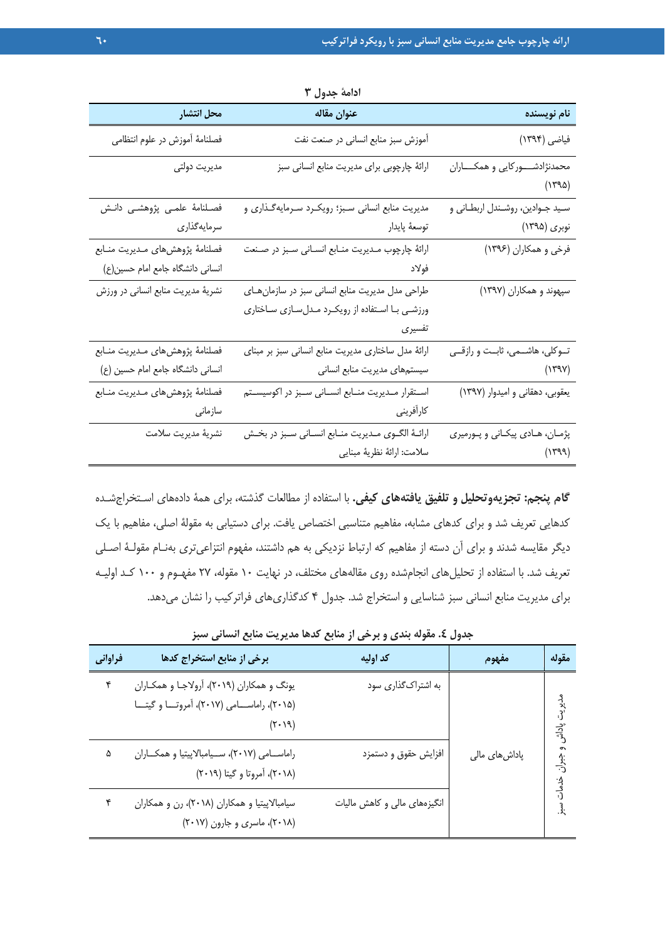|                                    | $\sim$ $\sim$ $\sim$ $\sim$ $\sim$ $\sim$           |                                            |
|------------------------------------|-----------------------------------------------------|--------------------------------------------|
| محل انتشار                         | عنوان مقاله                                         | نام نویسنده                                |
| فصلنامهٔ آموزش در علوم انتظامی     | آموزش سبز منابع انسانی در صنعت نفت                  | فياضي (١٣٩۴)                               |
| مديريت دولتى                       | ارائهٔ چارچوبی برای مدیریت منابع انسانی سبز         | محمدنژادشـــوركايي و همكــــاران<br>(1490) |
| فصلنامهٔ علمی پژوهشی دانـش         | مدیریت منابع انسانی سبز؛ رویکرد سـرمایهگـذاری و     | سيد جـوادين، روشـندل اربطـاني و            |
| سرمايەگذارى                        | توسعهٔ پایدار                                       | نوبری (۱۳۹۵)                               |
| فصلنامهٔ پژوهشهای مدیریت منابع     | ارائهٔ چارچوب مـدیریت منـابع انسـانی سـبز در صـنعت  | فرخي و همكاران (١٣٩۶)                      |
| انسانی دانشگاه جامع امام حسین(ع)   | فولاد                                               |                                            |
| نشریهٔ مدیریت منابع انسانی در ورزش | طراحی مدل مدیریت منابع انسانی سبز در سازمان های     | سپهوند و همکاران (۱۳۹۷)                    |
|                                    | ورزشى با استفاده از رويكرد مدلسازى ساختارى          |                                            |
|                                    | تفسيرى                                              |                                            |
| فصلنامهٔ پژوهشهای مدیریت منـابع    | ارائهٔ مدل ساختاری مدیریت منابع انسانی سبز بر مبنای | تــوكلي، هاشــمي، ثابــت و رازقــي         |
| انسانی دانشگاه جامع امام حسین (ع)  | سیستمهای مدیریت منابع انسانی                        | (1194)                                     |
| فصلنامهٔ پژوهشهای مدیریت منـابع    | استقرار مديريت منابع انسانى سبز در اكوسيستم         | یعقوبی، دهقانی و امیدوار (۱۳۹۷)            |
| سازمانى                            | كارأفريني                                           |                                            |
| نشريهٔ مديريت سلامت                | ارائـهٔ الگـوى مـديريت منـابع انسـانى سـبز در بخـش  | پژمان، هـادي پيکـاني و پـورميري            |
|                                    | سلامت: ارائهٔ نظریهٔ مبنایی                         | (1499)                                     |

**ادامة جدول 3**

**گام پنجم: تجزيهوتحليل و تلفيق يافتههاي كيفي.** با استفاده از مطالعات گذشته، براي همة دادههاي اسـتخراجشـده كدهايي تعريف شد و براي كدهاي مشابه، مفاهيم متناسبي اختصاص يافت. براي دستيابي به مقولة اصلي، مفاهيم با يك ديگر مقايسه شدند و براي آن دسته از مفاهيم كه ارتباط نزديكي به هم داشتند، مفهوم انتزاعيتري بهنـام مقولـة اصـلي تعريف شد. با استفاده از تحليلهاي انجامشده روي مقالههاي مختلف، در نهايت 10 مقوله، 27 مفهـوم و 100 كـد اوليـه براي مديريت منابع انساني سبز شناسايي و استخراج شد. جدول 4 كدگذاريهاي فراتركيب را نشان ميدهد.

|  | جدول ٤. مقوله بندی و برخی از منابع کدها مدیریت منابع انسانی سبز |  |  |  |  |
|--|-----------------------------------------------------------------|--|--|--|--|

| فراواني | برخی از منابع استخراج کدها                                                                                   | كد اوليه                     | مفهوم          | مقوله    |
|---------|--------------------------------------------------------------------------------------------------------------|------------------------------|----------------|----------|
| ۴       | یونگ و همکاران (۲۰۱۹)، آرولاجـا و همکـاران<br>(۲۰۱۵)، راماســامی (۲۰۱۷)، آمروتــا و گیتــا<br>$(7 \cdot 19)$ | به اشتراکگذاری سود           |                | راد<br>آ |
| ۵       | راماسامی (۲۰۱۷)، سیامبالاپیتیا و همکاران<br>(۲۰۱۸)، آمروتا و گیتا (۲۰۱۹)                                     | افزایش حقوق و دستمزد         | پاداش های مالی | بو<br>د  |
|         | سیامبالاپیتیا و همکاران (۲۰۱۸)، رن و همکاران<br>(۲۰۱۸)، ماسری و جارون (۲۰۱۷)                                 | انگیزههای مالی و کاهش مالیات |                |          |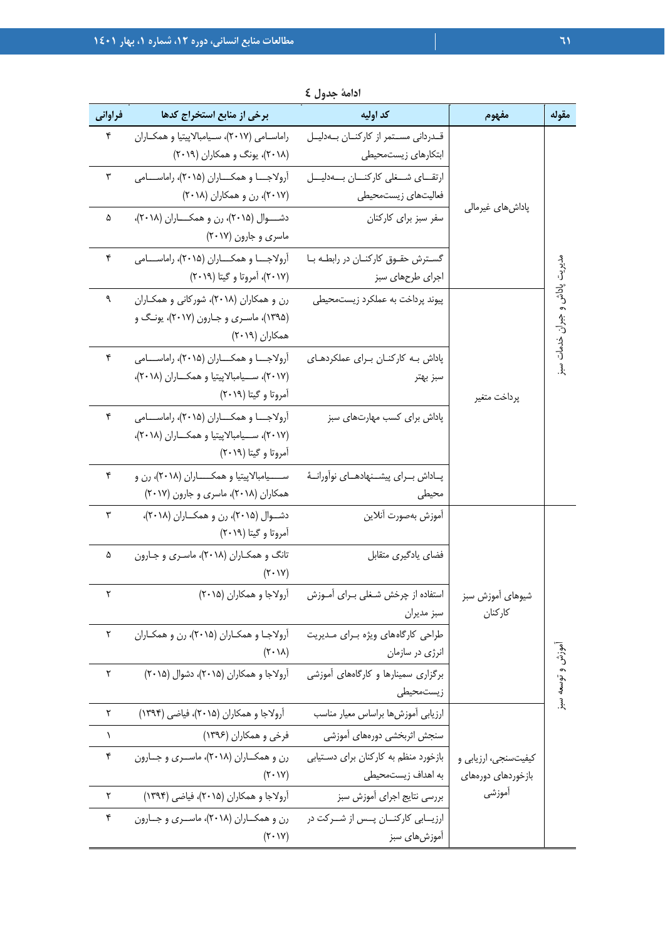| فراوانی   | برخی از منابع استخراج کدها                                                                                           | كد اوليه                                                    | مفهوم                                      | مقوله                         |
|-----------|----------------------------------------------------------------------------------------------------------------------|-------------------------------------------------------------|--------------------------------------------|-------------------------------|
| ۴         | راماسامی (٢٠١٧)، سيامبالاپيتيا و همكاران<br>(۲۰۱۸)، یونگ و همکاران (۲۰۱۹)                                            | قدردانی مستمر از کارکنان بهدلیل<br>ابتكارهاى زيستمحيطى      |                                            |                               |
| ٣         | آرولاجـــا و همكــــاران (۲۰۱۵)، راماســــامى<br>(۲۰۱۷)، رن و همکاران (۲۰۱۸)                                         | ارتقـاي شــغلى كاركنــان بــهدليـــل<br>فعاليتهاى زيستمحيطى | پاداشهای غیرمالی                           |                               |
| ۵         | دشـــوال (۲۰۱۵)، رن و همكــــاران (۲۰۱۸)،<br>ماسری و جارون (۲۰۱۷)                                                    | سفر سبز برای کارکنان                                        |                                            |                               |
| ۴         | آرولاجــا و همكـــاران (۲۰۱۵)، راماســـامى<br>(۲۰۱۷)، آمروتا و گیتا (۲۰۱۹)                                           | گسترش حقوق كاركنان در رابطه با<br>اجرای طرحهای سبز          |                                            |                               |
| ٩         | رن و همکاران (۲۰۱۸)، شورکانی و همکاران<br>(۱۳۹۵)، ماسـری و جـارون (۲۰۱۷)، یونـگ و<br>همكاران (٢٠١٩)                  | پیوند پرداخت به عملکرد زیستمحیطی                            |                                            | مديرت پاداش و جبران خدمات سبز |
| ۴         | آرولاجـــا و همكــــاران (۲۰۱۵)، راماســــامى<br>(۲۰۱۷)، ســيامبالاپيتيا و همكــاران (۲۰۱۸)،<br>آمروتا و گیتا (۲۰۱۹) | پاداش به کارکنان برای عملکردهای<br>سبز بهتر                 | پرداخت متغير                               |                               |
| ۴         | أرولاجـــا و همكـــاران (٢٠١۵)، راماســـامي<br>(۲۰۱۷)، ســـیامبالاپیتیا و همکـــاران (۲۰۱۸)،<br>آمروتا و گیتا (۲۰۱۹) | پاداش برای کسب مهارتهای سبز                                 |                                            |                               |
| ۴         | ســــیامبالاپیتیا و همکـــــاران (۲۰۱۸)، رن و<br>همکاران (۲۰۱۸)، ماسری و جارون (۲۰۱۷)                                | پــاداش بـــراي پيشـــنهادهـــاي نوأورانـــهٔ<br>محيطى      |                                            |                               |
| ٣         | دشوال (۲۰۱۵)، رن و همکاران (۲۰۱۸)،<br>آمروتا و گیتا (۲۰۱۹)                                                           | أموزش بهصورت أنلاين                                         |                                            |                               |
| ۵         | تانگ و همکـاران (۲۰۱۸)، ماسـري و جـارون<br>$(Y \cdot V)$                                                             | فضای یادگیری متقابل                                         |                                            |                               |
| ٢         | آرولاجا و همکاران (۲۰۱۵)                                                                                             | استفاده از چرخش شـغلی بـرای آمـوزش<br>سبز مديران            | شیوهای آموزش سبز<br>كاركنان                |                               |
| ٢         | آرولاجـا و همکـاران (۲۰۱۵)، رن و همکـاران<br>$(Y \cdot \lambda)$                                                     | طراحی کارگاههای ویژه برای مدیریت<br>انرژی در سازمان         |                                            |                               |
| ٢         | آرولاجا و همکاران (۲۰۱۵)، دشوال (۲۰۱۵)                                                                               | برگزاری سمینارها و کارگاههای آموزشی<br>زيستمحيطى            |                                            | موزش و توسعه سبز              |
| ٢         | آرولاجا و همكاران (٢٠١۵)، فياضي (١٣٩۴)                                                                               | ارزيابي أموزشها براساس معيار مناسب                          |                                            |                               |
| $\lambda$ | فرخی و همکاران (۱۳۹۶)                                                                                                | سنجش اثربخشي دورههاى أموزشى                                 |                                            |                               |
| ۴         | رن و همكـاران (۲۰۱۸)، ماسـرى و جـارون<br>$(Y \cdot Y)$                                                               | بازخورد منظم به كاركنان براى دستيابى<br>به اهداف زیستمحیطی  | کیفیتسنجی، ارزیابی و<br>بازخوردهای دورههای |                               |
| ٢         | أرولاجا و همكاران (٢٠١۵)، فياضي (١٣٩۴)                                                                               | بررسي نتايج اجراى أموزش سبز                                 | أموزشى                                     |                               |
| ۴         | رن و همکــاران (۲۰۱۸)، ماســری و جــارون<br>$(Y \cdot Y)$                                                            | ارزیـــابی کارکنـــان پـــس از شـــرکت در<br>آموزشهای سبز   |                                            |                               |

**ادامة جدول 4**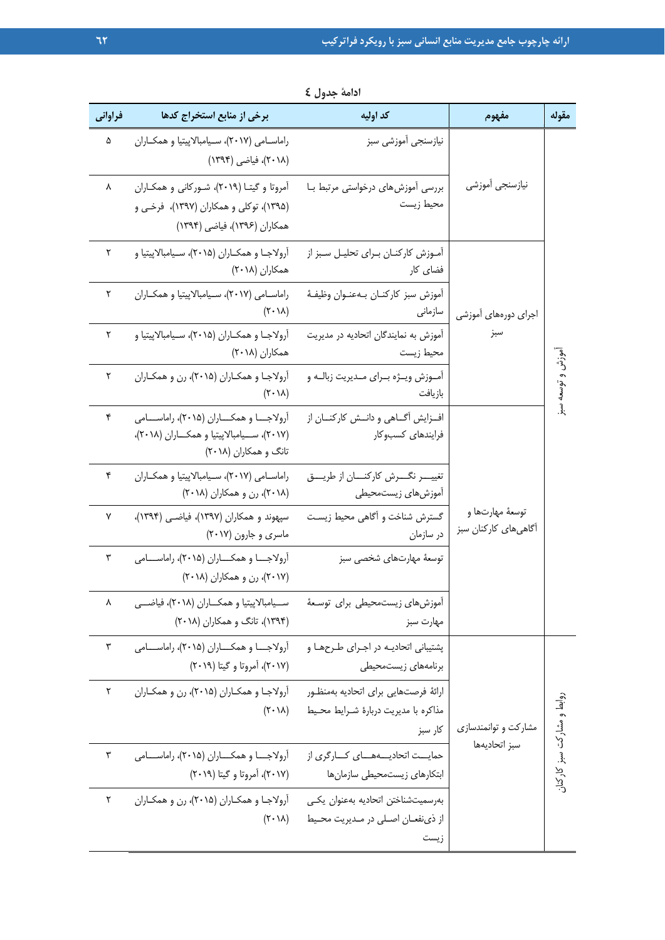| فراوانى | برخی از منابع استخراج کدها                                                                                           | كد اوليه                                                                               | مفهوم                                    | مقوله                      |
|---------|----------------------------------------------------------------------------------------------------------------------|----------------------------------------------------------------------------------------|------------------------------------------|----------------------------|
| ۵       | راماسـامي (٢٠١٧)، سـيامبالاپيتيا و همكـاران<br>(۲۰۱۸)، فیاضی (۱۳۹۴)                                                  | نيازسنجي أموزشي سبز                                                                    |                                          |                            |
| ٨       | آمروتا و گیتـا (۲۰۱۹)، شـورکانی و همکـاران<br>(۱۳۹۵)، توکلی و همکاران (۱۳۹۷)، فرخی و<br>همكاران (١٣٩۶)، فياضي (١٣٩۴) | بررسی أموزشهای درخواستی مرتبط بـا<br>محيط زيست                                         | نيازسنجي اموزشي                          |                            |
| ٢       | آرولاجـا و همكــاران (۲۰۱۵)، ســيامبالاپيتيا و<br>همكاران (٢٠١٨)                                                     | آمـوزش كاركنــان بــراي تحليــل ســبز از<br>فضای کار                                   |                                          |                            |
| ٢       | راماسامی (٢٠١٧)، سيامبالاپيتيا و همكاران<br>$(Y \cdot \lambda)$                                                      | أموزش سبز كاركنـان بـهعنـوان وظيفـهٔ<br>سازمانى                                        | اجرای دورههای آموزشی                     |                            |
| ٢       | آرولاجـا و همكــاران (۲۰۱۵)، ســيامبالاپيتيا و<br>همكاران (٢٠١٨)                                                     | آموزش به نمایندگان اتحادیه در مدیریت<br>محيط زيست                                      | سبز                                      |                            |
| ٢       | آرولاجا و همكاران (۲۰۱۵)، رن و همكاران<br>$(Y \cdot \lambda)$                                                        | آمـوزش ويـژه بـراي مـديريت زبالـه و<br>بازيافت                                         |                                          | جزش و توسعه                |
| ۴       | آرولاجــا و همكـــاران (۲۰۱۵)، راماســـامى<br>(٢٠١٧)، سـيامبالاپيتيا و همكـاران (٢٠١٨)،<br>تانگ و همکاران (۲۰۱۸)     | افزایش آگــاهی و دانــش کارکنــان از<br>فرايندهاى كسبوكار                              |                                          | $\ddot{\mathbf{r}}$        |
| ۴       | راماسـامي (٢٠١٧)، سـيامبالاپيتيا و همكـاران<br>(۲۰۱۸)، رن و همکاران (۲۰۱۸)                                           | أموزش هاى زيستمحيطي                                                                    |                                          |                            |
| ٧       | سپهوند و همکاران (۱۳۹۷)، فیاضی (۱۳۹۴)،<br>ماسری و جارون (۲۰۱۷)                                                       | گسترش شناخت و أگاهي محيط زيست<br>در سازمان                                             | توسعهٔ مهارتها و<br>آگاهیهای کارکنان سبز |                            |
| ٣       | أرولاجـا و همكـاران (٢٠١۵)، راماســامى<br>(۲۰۱۷)، رن و همکاران (۲۰۱۸)                                                | توسعهٔ مهارتهای شخصی سبز                                                               |                                          |                            |
| ٨       | ســيامبالاپيتيا و همكــاران (٢٠١٨)، فياضـــي<br>(۱۳۹۴)، تانگ و همکاران (۲۰۱۸)                                        | أموزشهاى زيستمحيطى براى توسعهٔ<br>مهارت سبز                                            |                                          |                            |
| ٣       | آرولاجـــا و همكــــاران (۲۰۱۵)، راماســــامى<br>(۲۰۱۷)، آمروتا و گیتا (۲۰۱۹)                                        | پشتیبانی اتحادیـه در اجـرای طـرحهـا و<br>برنامههای زیستمحیطی                           |                                          |                            |
| ٢       | آرولاجا و همكاران (٢٠١۵)، رن و همكاران<br>$(Y \cdot \lambda)$                                                        | ارائة فرصتهايي براى اتحاديه بهمنظور<br>مذاكره با مديريت دربارة شـرايط محـيط<br>کار سبز | مشارکت و توانمندسازی                     | روابط و مشارکت سبز کارکنان |
| ٣       | آرولاجــــا و همکــــاران (۲۰۱۵)، راماســــامى<br>(۲۰۱۷)، آمروتا و گیتا (۲۰۱۹)                                       | حمایــت اتحادیــــههـــای کـــارگری از<br>ابتكارهاى زيستمحيطى سازمانها                 | سبز اتحاديهها                            |                            |
| ٢       | آرولاجا و همكاران (۲۰۱۵)، رن و همكاران<br>$(Y \cdot \lambda)$                                                        | بەرسميتشناختن اتحاديه بەعنوان يكى<br>از ذي نفعـان اصـلي در مـديريت محـيط<br>زيست       |                                          |                            |

**ادامة جدول 4**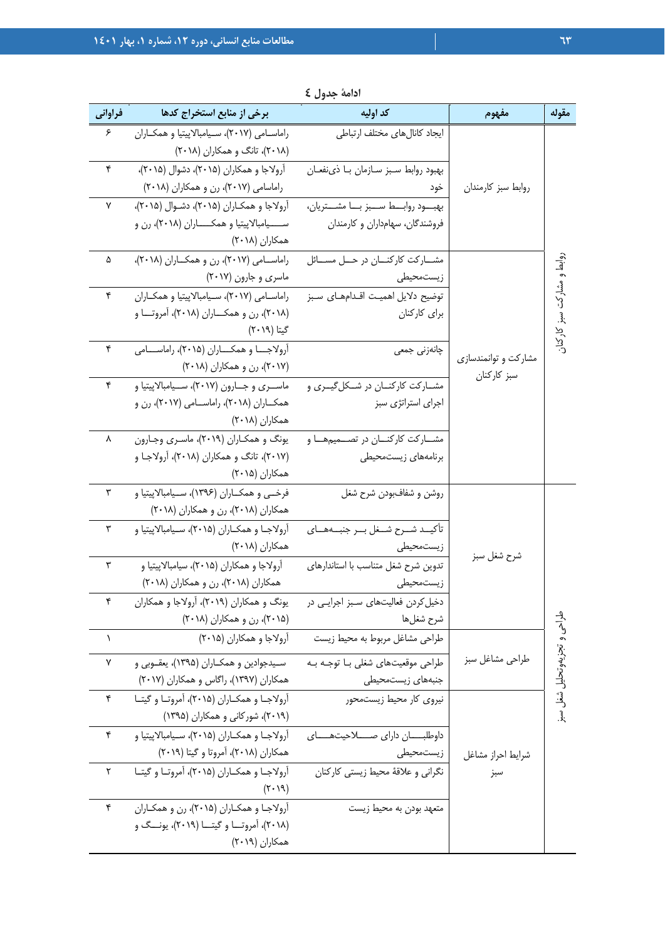| مقوله                     | مفهوم                | كد اوليه                                         | برخی از منابع استخراج کدها                                      | فراواني   |
|---------------------------|----------------------|--------------------------------------------------|-----------------------------------------------------------------|-----------|
|                           |                      | ايجاد كانالهاى مختلف ارتباطي                     | راماسـامی (۲۰۱۷)، سـيامبالاپيتيا و همكـاران                     | ۶         |
|                           |                      |                                                  | (۲۰۱۸)، تانگ و همکاران (۲۰۱۸)                                   |           |
|                           |                      | بهبود روابط سبز سازمان با ذى نفعان               | آرولاجا و همکاران (۲۰۱۵)، دشوال (۲۰۱۵)،                         | ۴         |
|                           | روابط سبز كارمندان   | خود                                              | راماسامی (۲۰۱۷)، رن و همکاران (۲۰۱۸)                            |           |
|                           |                      | بهبود روابــط ســبز بـــا مشـــتريان،            | آرولاجا و همكـاران (۲۰۱۵)، دشـوال (۲۰۱۵)،                       | ٧         |
|                           |                      | فروشندگان، سهامداران و کارمندان                  | ســـــیامبالاپیتیا و همکــــــاران (۲۰۱۸)، رن و                 |           |
|                           |                      |                                                  | همكاران (۲۰۱۸)                                                  |           |
|                           |                      | مشـــاركت كاركنــــان در حـــل مســــائل         | راماســامى (٢٠١٧)، رن و همكــاران (٢٠١٨)،                       | ۵         |
| وابط و مشاركت سبز كاركنان |                      | زیستمحیطی                                        | ماسری و جارون (۲۰۱۷)                                            |           |
|                           |                      | توضيح دلايل اهميت اقـدامهـاي سـبز                | راماسـامی (۲۰۱۷)، سـيامبالاپيتيا و همكـاران                     | ۴         |
|                           |                      | برای کارکنان                                     | (۲۰۱۸)، رن و همکــــاران (۲۰۱۸)، آمروتــــا و                   |           |
|                           |                      |                                                  | گیتا (۲۰۱۹)                                                     |           |
|                           | مشارکت و توانمندسازی | چانەزنى جمعى                                     | آرولاجـــا و همكـــاران (۲۰۱۵)، راماســـامی                     | ۴         |
|                           | سبز کارکنان          |                                                  | (۲۰۱۷)، رن و همکاران (۲۰۱۸)                                     |           |
|                           |                      | مشـارکت کارکنــان در شــکل5یــری و               | ماســري وجــارون (٢٠١٧)، ســيامبالاپيتيا و                      | ۴         |
|                           |                      | اجرای استراتژی سبز                               | همکــاران (۲۰۱۸)، راماســامي (۲۰۱۷)، رن و                       |           |
|                           |                      |                                                  | همكاران (٢٠١٨)                                                  |           |
|                           |                      | مشارکت کارکنان در تصمیمها و                      | یونگ و همکـاران (۲۰۱۹)، ماسـری وجـارون                          | ٨         |
|                           |                      | برنامههای زیستمحیطی                              | (۲۰۱۷)، تانگ و همکاران (۲۰۱۸)، آرولاجـا و                       |           |
|                           |                      |                                                  | همكاران (۲۰۱۵)                                                  |           |
|                           |                      | روشن و شفافبودن شرح شغل                          | فرخــي و همكــاران (١٣٩۶)، ســيامبالاپيتيا و                    | ٣         |
|                           |                      |                                                  | همکاران (۲۰۱۸)، رن و همکاران (۲۰۱۸)                             |           |
|                           |                      | تأكيــد شــرح شــغل بــر جنبــههــاى             | اًرولاجـا و همكــاران (۲۰۱۵)، ســيامبالاپيتيا و                 | ٣         |
|                           | شرح شغل سبز          | زيستمحيطى<br>تدوین شرح شغل متناسب با استاندارهای | همكاران (٢٠١٨)<br>آرولاجا و همکاران (۲۰۱۵)، سیامبالاپیتیا و     | ٣         |
|                           |                      | زيستمحيطى                                        | همکاران (۲۰۱۸)، رن و همکاران (۲۰۱۸)                             |           |
|                           |                      | دخیل کردن فعالیتهای سـبز اجرایـی در              | یونگ و همکاران (۲۰۱۹)، ارولاجا و همکاران                        | ۴         |
|                           |                      | شرح شغلها                                        | (۲۰۱۵)، رن و همکاران (۲۰۱۸)                                     |           |
| جا<br>ج                   |                      | طراحی مشاغل مربوط به محیط زیست                   | آرولاجا و همكاران (۲۰۱۵)                                        | $\lambda$ |
| و تجزيهوتحليل شغل سبز     |                      |                                                  |                                                                 |           |
|                           | طراحي مشاغل سبز      | طراحی موقعیتهای شغلی بـا توجـه بـه               | سـیدجوادین و همکــاران (۱۳۹۵)، یعقــوبی و                       | ٧         |
|                           |                      | جنبههای زیستمحیطی                                | همکاران (۱۳۹۷)، راگاس و همکاران (۲۰۱۷)                          |           |
|                           |                      | نیروی کار محیط زیستمحور                          | آرولاجـا و همكـاران (۲۰۱۵)، آمروتـا و گيتـا                     | ۴         |
|                           |                      |                                                  | (۲۰۱۹)، شورکانی و همکاران (۱۳۹۵)                                |           |
|                           |                      |                                                  | آرولاجـا و همكــاران (۲۰۱۵)، ســيامبالاپيتيا و                  | ۴         |
|                           | شرايط احراز مشاغل    | زیستمحیطی                                        | همکاران (۲۰۱۸)، آمروتا و گیتا (۲۰۱۹)                            |           |
|                           | سبز                  | نگرانی و علاقهٔ محیط زیستی کارکنان               | أرولاجا و همكاران (٢٠١۵)، أمروتا و كيتـا                        | ٢         |
|                           |                      |                                                  | (7.19)                                                          |           |
|                           |                      | متعهد بودن به محيط زيست                          | آرولاجـا و همکـاران (۲۰۱۵)، رن و همکـاران                       | ۴         |
|                           |                      |                                                  | (۲۰۱۸)، آمروتـــا و گیتـــا (۲۰۱۹)، یونـــگ و<br>همكاران (٢٠١٩) |           |
|                           |                      |                                                  |                                                                 |           |

**ادامة جدول 4**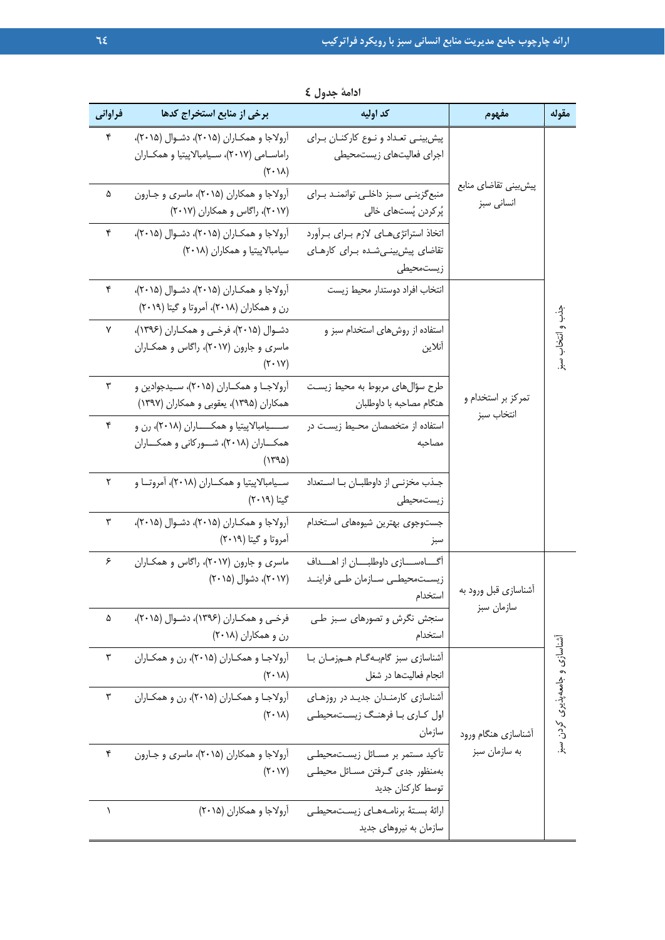| فراوانی   | برخی از منابع استخراج کدها                                                                                      | كد اوليه                                                                                 | مفهوم                              | مقوله                           |
|-----------|-----------------------------------------------------------------------------------------------------------------|------------------------------------------------------------------------------------------|------------------------------------|---------------------------------|
| ۴         | آرولاجا و همكـاران (۲۰۱۵)، دشـوال (۲۰۱۵)،<br>راماسـامي (٢٠١٧)، سـيامبالاپيتيا و همكـاران<br>$(Y \cdot \lambda)$ | پیش بینی تعداد و نوع کارکنان برای<br>اجراى فعاليتهاى زيستمحيطى                           |                                    |                                 |
| ۵         | آرولاجا و همکاران (۲۰۱۵)، ماسری و جـارون<br>(۲۰۱۷)، راگاس و همکاران (۲۰۱۷)                                      | منبع گزینی سبز داخلی توانمند برای<br>پُرکردن پُستھای خالی                                | پیشبینی تقاضای منابع<br>انسانى سبز |                                 |
| ۴         | آرولاجا و همكـاران (٢٠١۵)، دشـوال (٢٠١۵)،<br>سیامبالاپیتیا و همکاران (۲۰۱۸)                                     | اتخاذ استراتژى هاى لازم بىراى بىرآورد<br>تقاضای پیش بینـیشـده بـرای کارهـای<br>زیستمحیطی |                                    |                                 |
| ۴         | آرولاجا و همكـاران (۲۰۱۵)، دشـوال (۲۰۱۵)،<br>رن و همکاران (۲۰۱۸)، آمروتا و گیتا (۲۰۱۹)                          | انتخاب افراد دوستدار محيط زيست                                                           |                                    | $\frac{3}{1}$                   |
| ٧         | دشوال (۲۰۱۵)، فرخی و همکاران (۱۳۹۶)،<br>ماسری و جارون (۲۰۱۷)، راگاس و همکـاران<br>$(Y \cdot V)$                 | استفاده از روشهای استخدام سبز و<br>أنلاين                                                |                                    | و انتخاب سبز                    |
| ٣         | آرولاجــا و همکــاران (۲۰۱۵)، ســیدجوادین و<br>همکاران (۱۳۹۵)، یعقوبی و همکاران (۱۳۹۷)                          | طرح سؤالهای مربوط به محیط زیست<br>هنگام مصاحبه با داوطلبان                               | تمرکز بر استخدام و<br>انتخاب سبز   |                                 |
| ۴         | ســــیامبالاپیتیا و همکـــــاران (۲۰۱۸)، رن و<br>همکــاران (۲۰۱۸)، شــورکانی و همکــاران<br>(1490)              | استفاده از متخصصان محـيط زيسـت در<br>مصاحبه                                              |                                    |                                 |
| ٢         | سـيامبالاپيتيا و همكـاران (٢٠١٨)، أمروتــا و<br>گیتا (۲۰۱۹)                                                     | جـذب مخزنـى از داوطلبـان بـا اسـتعداد<br>زیستمحیطی                                       |                                    |                                 |
| ٣         | آرولاجا و همكـاران (۲۰۱۵)، دشـوال (۲۰۱۵)،<br>آمروتا و گیتا (۲۰۱۹)                                               | جستوجوى بهترين شيوههاى استخدام<br>سبز                                                    |                                    |                                 |
| ۶         | ماسری و جارون (۲۰۱۷)، راگاس و همکاران<br>(۲۰۱۷)، دشوال (۲۰۱۵)                                                   | آگاهسازی داوطلبان از اهـداف<br>زیســتمحیطــی ســازمان طــی فراینــد<br>استخدام           | أشناسازي قبل ورود به               |                                 |
| ۵         | فرخي و همكـاران (١٣٩۶)، دشـوال (٢٠١۵)،<br>رن و همکاران (۲۰۱۸)                                                   | سنجش نگرش و تصورهای سبز طی<br>استخدام                                                    | سازمان سبز                         |                                 |
| ٣         | آرولاجـا و همکـاران (۲۰۱۵)، رن و همکـاران<br>$(Y \cdot \lambda)$                                                | أشناسازی سبز گامبەگــام ھــمزمــان بــا<br>انجام فعاليتها در شغل                         |                                    |                                 |
| ٣         | آرولاجـا و همکـاران (۲۰۱۵)، رن و همکـاران<br>$(Y \cdot \lambda)$                                                | آشناسازی کارمنـدان جدیـد در روزهـای<br>اول کـاري بـا فرهنـگ زيسـتمحيطـي<br>سازمان        | أشناسازي هنگام ورود                | أشناسازى و جامعه پذيرى كردن سبز |
| ۴         | آرولاجا و همکاران (۲۰۱۵)، ماسری و جـارون<br>$(Y \cdot V)$                                                       | تأكيد مستمر بر مسـائل زيسـتمحيطـي<br>بهمنظور جدى گرفتن مسائل محيطى<br>توسط كاركنان جديد  | به سازمان سبز                      |                                 |
| $\lambda$ | آرولاجا و همکاران (۲۰۱۵)                                                                                        | ارائهٔ بستهٔ برنامههای زیستمحیطی<br>سازمان به نیروهای جدید                               |                                    |                                 |

| ادامهٔ جدول £ |  |  |  |  |
|---------------|--|--|--|--|
|---------------|--|--|--|--|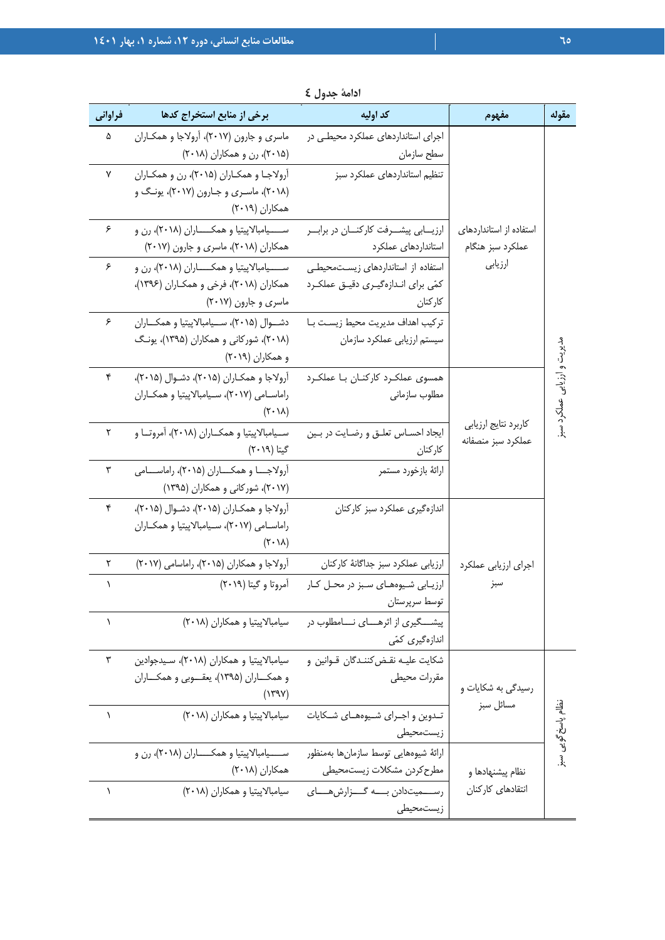| فراواني   | برخی از منابع استخراج کدها                                                                                         | كد اوليه                                                                              | مفهوم                                       | مقوله                       |
|-----------|--------------------------------------------------------------------------------------------------------------------|---------------------------------------------------------------------------------------|---------------------------------------------|-----------------------------|
| ۵         | ماسری و جارون (۲۰۱۷)، آرولاجا و همکـاران<br>(۲۰۱۵)، رن و همکاران (۲۰۱۸)                                            | اجرای استانداردهای عملکرد محیطی در<br>سطح سازمان                                      |                                             |                             |
| ۷         | آرولاجـا و همكـاران (۲۰۱۵)، رن و همكـاران<br>(۲۰۱۸)، ماسـری و جـارون (۲۰۱۷)، یونـگ و<br>همكاران (٢٠١٩)             | تنظیم استانداردهای عملکرد سبز                                                         |                                             |                             |
| ۶         | ســـــیامبالاپیتیا و همکـــــاران (۲۰۱۸)، رن و<br>همکاران (۲۰۱۸)، ماسری و جارون (۲۰۱۷)                             | ارزیــابی پیشــرفت کارکنــان در برابــر<br>استانداردهای عملکرد                        | استفاده از استانداردهای<br>عملكرد سبز هنگام |                             |
| ۶         | ســـــیامبالاپیتیا و همکـــــاران (۲۰۱۸)، رن و<br>همکاران (۲۰۱۸)، فرخی و همکـاران (۱۳۹۶)،<br>ماسری و جارون (۲۰۱۷)  | استفاده از استانداردهای زیست محیطی<br>کمّی برای انـدازهگیـری دقیـق عملکـرد<br>كاركنان | ارزيابي                                     |                             |
| ۶         | دشـوال (۲۰۱۵)، سـيامبالاپيتيا و همكـاران<br>(۲۰۱۸)، شورکانی و همکاران (۱۳۹۵)، یونگ<br>و همکاران (۲۰۱۹)             | تركيب اهداف مديريت محيط زيست بـا<br>سیستم ارزیابی عملکرد سازمان                       |                                             |                             |
| ۴         | آرولاجا و همكـاران (۲۰۱۵)، دشـوال (۲۰۱۵)،<br>راماســامي (٢٠١٧)، ســيامبالاپيتيا و همكــاران<br>$(Y \cdot \lambda)$ | همسوی عملکرد کارکنان با عملکرد<br>مطلوب سازمانى                                       |                                             | مدیریت و ارزیابی عملکرد سبز |
| ٢         | ســيامبالاپيتيا و همكــاران (٢٠١٨)، أمروتــا و<br>گیتا (۲۰۱۹)                                                      | ايجاد احسـاس تعلـق و رضـايت در بـين<br>كاركنان                                        | كاربرد نتايج ارزيابي<br>عملكرد سبز منصفانه  |                             |
| ٣         | آرولاجـــا و همكــــاران (۲۰۱۵)، راماســــامى<br>(۲۰۱۷)، شورکانی و همکاران (۱۳۹۵)                                  | ارائهٔ بازخورد مستمر                                                                  |                                             |                             |
| ۴         | آرولاجا و همكـاران (۲۰۱۵)، دشـوال (۲۰۱۵)،<br>راماسـامي (٢٠١٧)، سـيامبالاپيتيا و همكـاران<br>$(Y \cdot \lambda)$    | اندازهگیری عملکرد سبز کارکنان                                                         |                                             |                             |
| ٢         | آرولاجا و همكاران (٢٠١۵)، راماسامي (٢٠١٧)                                                                          | ارزيابي عملكرد سبز جداگانهٔ كاركنان                                                   | اجراى ارزيابي عملكرد                        |                             |
| Λ         | آمروتا و گیتا (۲۰۱۹)                                                                                               | ارزیابی شیوههای سبز در محل کار<br>توسط سرپرستان                                       | سبز                                         |                             |
| $\lambda$ | سیامبالاپیتیا و همکاران (۲۰۱۸)                                                                                     | پیشـــگیری از اثرهــــای نــــامطلوب در<br>اندازەگىرى كمّى                            |                                             |                             |
| ٣         | سیامبالاپیتیا و همکاران (۲۰۱۸)، سیدجوادین<br>و همکـــاران (۱۳۹۵)، يعقـــوبي و همکـــاران<br>(YYY)                  | شكايت عليـه نقـض2ننـدگان قـوانين و<br>مقررات محيطى                                    | رسیدگی به شکایات و                          |                             |
| J         | سیامبالاپیتیا و همکاران (۲۰۱۸)                                                                                     | تـدوين و اجـراي شـيوههــاي شـكايات<br>زيستمحيطى                                       | مسائل سبز                                   | نظام پاسخ گویی سبز          |
|           | ســـــیامبالاپیتیا و همکــــــاران (۲۰۱۸)، رن و<br>همكاران (٢٠١٨)                                                  | ارائهٔ شیوههایی توسط سازمانها بهمنظور<br>مطرح كردن مشكلات زيستمحيطى                   | نظام پیشنهادها و                            |                             |
| ١         | سیامبالاپیتیا و همکاران (۲۰۱۸)                                                                                     | رســـمیتدادن بــــه گـــزارش هــــای<br>زيستمحيطى                                     | انتقادهای کارکنان                           |                             |

**ادامة جدول 4**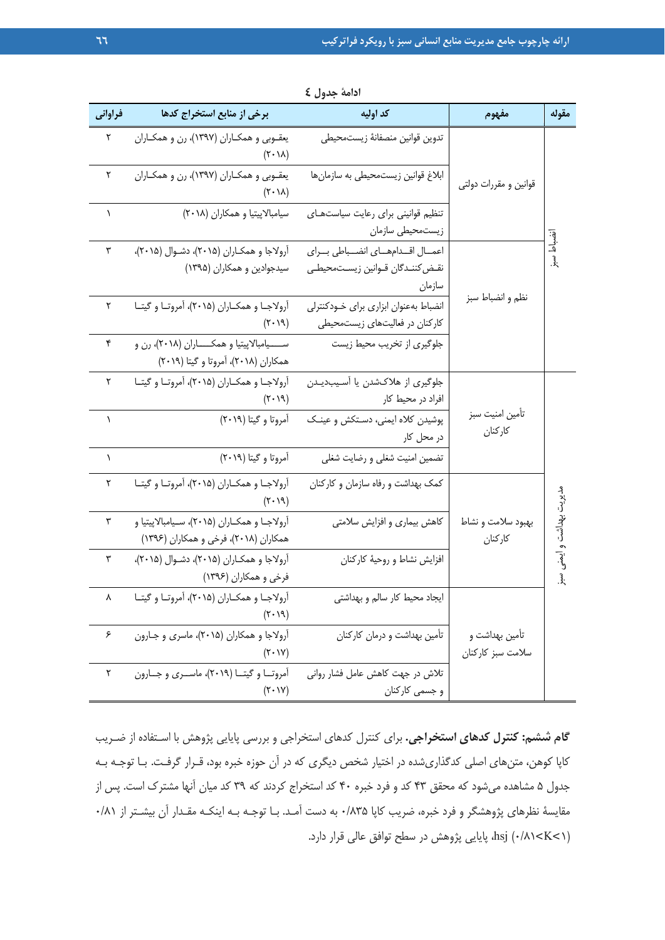| فراوانى   | برخی از منابع استخراج کدها                                                               | كد اوليه                                                                   | مفهوم                               | مقوله                   |
|-----------|------------------------------------------------------------------------------------------|----------------------------------------------------------------------------|-------------------------------------|-------------------------|
| ٢         | يعقـوبي و همكـاران (١٣٩٧)، رن و همكـاران<br>$(Y \cdot \lambda)$                          | تدوين قوانين منصفانهٔ زيستمحيطى                                            |                                     |                         |
| ٢         | يعقـوبي و همكـاران (١٣٩٧)، رن و همكـاران<br>$(Y \cdot \lambda)$                          | ابلاغ قوانین زیستمحیطی به سازمانها                                         | قوانین و مقررات دولتی               |                         |
| 1         | سیامبالاپیتیا و همکاران (۲۰۱۸)                                                           | تنظيم قوانينى براى رعايت سياستهاى<br>زيستمحيطي سازمان                      |                                     |                         |
| ٣         | آرولاجا و همكـاران (۲۰۱۵)، دشـوال (۲۰۱۵)،<br>سیدجوادین و همکاران (۱۳۹۵)                  | اعمال اقدامهاى انضباطي براى<br>نقـض كننـدگان قـوانين زيسـت،حيطـي<br>سازمان |                                     | <u>لہ</u><br>$\ddot{x}$ |
| ٢         | آرولاجـا و همكــاران (۲۰۱۵)، آمروتـا و گيتــا<br>(5.19)                                  | انضباط بهعنوان ابزارى براى خودكنترلى<br>کارکنان در فعالیتهای زیستمحیطی     | نظم و انضباط سبز                    |                         |
| ۴         | ســـــیامبالاپیتیا و همکــــــاران (۲۰۱۸)، رن و<br>همکاران (۲۰۱۸)، آمروتا و گیتا (۲۰۱۹)  | جلوگیری از تخریب محیط زیست                                                 |                                     |                         |
| ٢         | آرولاجـا و همكــاران (۲۰۱۵)، آمروتـا و گيتــا<br>$(\mathbf{r} \cdot \mathbf{v})$         | جلوگیری از هلاکشدن یا آسیبدیدن<br>افراد در محیط کار                        |                                     |                         |
| $\lambda$ | آمروتا و گیتا (۲۰۱۹)                                                                     | پوشیدن کلاه ایمنی، دستکش و عینک<br>در محل کار                              | تأمين امنيت سبز<br>كاركنان          |                         |
| $\lambda$ | آمروتا و گیتا (۲۰۱۹)                                                                     | تضمین امنیت شغلی و رضایت شغلی                                              |                                     |                         |
| ٢         | آرولاجـا و همكــاران (۲۰۱۵)، آمروتـا و گيتــا<br>$(Y \cdot Y)$                           | کمک بهداشت و رفاه سازمان و کارکنان                                         |                                     |                         |
| ٣         | اًرولاجـا و همكــاران (۲۰۱۵)، ســيامبالاپيتيا و<br>همکاران (۲۰۱۸)، فرخی و همکاران (۱۳۹۶) | کاهش بیماری و افزایش سلامتی                                                | بهبود سلامت و نشاط<br>كاركنان       | ىديريت بهداشت و         |
| ٣         | آرولاجا و همكـاران (۲۰۱۵)، دشـوال (۲۰۱۵)،<br>فرخي و همكاران (۱۳۹۶)                       | افزایش نشاط و روحیهٔ کارکنان                                               |                                     | ۔<br>رگي<br>بِدِ        |
|           | $(Y \cdot Y)$                                                                            | ایجاد محیط کار سالم و بهداشتی                                              |                                     |                         |
| ۶         | آرولاجا و همکاران (۲۰۱۵)، ماسری و جـارون<br>$(Y \cdot Y)$                                | تأمین بهداشت و درمان کارکنان                                               | تامین بهداشت و<br>سلامت سبز كاركنان |                         |
| ٢         | آمروتــا و گیتــا (۲۰۱۹)، ماســری و جــارون<br>$(Y \cdot V)$                             | تلاش در جهت کاهش عامل فشار روانی<br>و جسمی کارکنان                         |                                     |                         |

**ادامة جدول 4** 

**گام ششم: كنترل كدهاي استخراجي.** براي كنترل كدهاي استخراجي و بررسي پايايي پژوهش با اسـتفاده از ضـريب كاپا كوهن، متنهاي اصلي كدگذاريشده در اختيار شخص ديگري كه در آن حوزه خبره بود، قـرار گرفـت. بـا توجـه بـه جدول 5 مشاهده ميشود كه محقق 43 كد و فرد خبره 40 كد استخراج كردند كه 39 كد ميان آنها مشترك است. پس از مقايسهٔ نظرهاي پژوهشگر و فرد خبره، ضريب كاپا ۸۳۵/۰ به دست آمـد. بـا توجـه بـه اينكـه مقـدار آن بيشـتر از ۸۱/۰ (1˂K˂0/81 (hsj، پايايي پژوهش در سطح توافق عالي قرار دارد.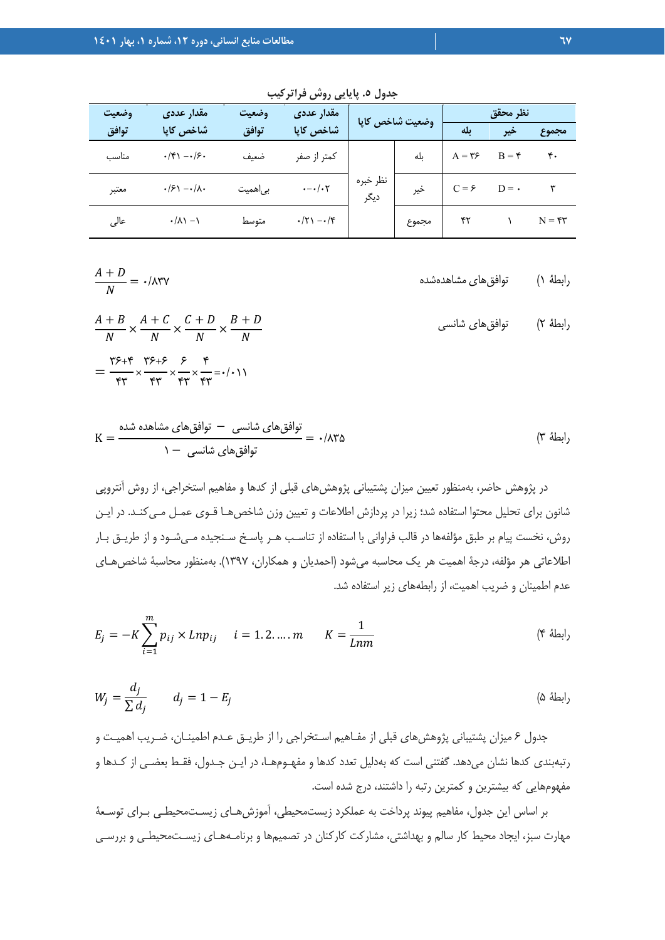| وضعيت | مقدار عددي                                          | وضعيت    | مقدار عددی                    | وضعيت شاخص كايا  |       |                  | أنظر محقق |                                |
|-------|-----------------------------------------------------|----------|-------------------------------|------------------|-------|------------------|-----------|--------------------------------|
| توافق | شاخص کاپا                                           | توافق    | شاخص كاپا                     |                  |       | ىلە              | ئير       | مجموء                          |
| مناسب | $\cdot$ /۴۱ $-\cdot$ /۶۰                            | ضعىف     | كمتر از صفر                   |                  | بله   | $A = \mathbf{y}$ | $B = f$   | ۴۰                             |
| معتبر | $\cdot$ / $\epsilon$ ) $ \cdot$ / $\lambda$ $\cdot$ | بی اهمیت | $\cdot - \cdot / \cdot \cdot$ | نظر خبره<br>ديگر | خير   | $C = \epsilon$   | $D = -$   |                                |
| عالى  | $\cdot/\lambda$ ) $-$ )                             | متوسط    | $\cdot$ /۲۱ $-\cdot$ /۴       |                  | مجموع | ۴۲               |           | $N = \mathfrak{r}\mathfrak{r}$ |

**جدول .5 پايايي روش فراتركيب** 

$$
\frac{A+D}{N} = \cdot / \land \text{TY}
$$
 (ابطهٔ () توافقهای مشاهدهشده

$$
\frac{A+B}{N} \times \frac{A+C}{N} \times \frac{C+D}{N} \times \frac{B+D}{N}
$$
\n
$$
= \frac{Y^{\epsilon}+Y^{\epsilon}}{Y^{\epsilon}} \times \frac{Y^{\epsilon}+Z^{\epsilon}}{Y^{\epsilon}} \times \frac{Y^{\epsilon}}{Y^{\epsilon}} = \cdot/ \cdot 1
$$
\n
$$
= \frac{Y^{\epsilon}+Y^{\epsilon}}{Y^{\epsilon}} \times \frac{Y^{\epsilon}}{Y^{\epsilon}} \times \frac{Y^{\epsilon}}{Y^{\epsilon}} = \cdot/ \cdot 1
$$

$$
K = \frac{N}{\sqrt{N}} = \frac{1}{\sqrt{N}} = \frac{1}{\sqrt{N}} = \frac{1}{\sqrt{N}} = \frac{1}{\sqrt{N}} = \frac{1}{\sqrt{N}}
$$

در پژوهش حاضر، بهمنظور تعيين ميزان پشتيباني پژوهشهاي قبلي از كدها و مفاهيم استخراجي، از روش آنتروپي شانون براي تحليل محتوا استفاده شد؛ زيرا در پردازش اطلاعات و تعيين وزن شاخصهـا قـوي عمـل مـيكنـد. در ايـن روش، نخست پيام بر طبق مؤلفهها در قالب فراواني با استفاده از تناسـب هـر پاسـخ سـنجيده مـيشـود و از طريـق بـار اطلاعاتي هر مؤلفه، درجة اهميت هر يك محاسبه ميشود (احمديان و همكاران، 1397). بهمنظور محاسبة شاخصهـاي عدم اطمينان و ضريب اهميت، از رابطههاي زير استفاده شد.

$$
E_j = -K \sum_{i=1}^{m} p_{ij} \times Lnp_{ij} \quad i = 1, 2, ..., m \qquad K = \frac{1}{Lnm}
$$
 († 1)

$$
W_j = \frac{d_j}{\sum d_j} \qquad d_j = 1 - E_j \tag{0.14}
$$

جدول 6 ميزان پشتيباني پژوهشهاي قبلي از مفـاهيم اسـتخراجي را از طريـق عـدم اطمينـان، ضـريب اهميـت و رتبهبندي كدها نشان ميدهد. گفتني است كه بهدليل تعدد كدها و مفهـومهـا، در ايـن جـدول، فقـط بعضـي از كـدها و مفهومهايي كه بيشترين و كمترين رتبه را داشتند، درج شده است.

بر اساس اين جدول، مفاهيم پيوند پرداخت به عملكرد زيستمحيطي، آموزشهـاي زيسـتمحيطـي بـراي توسـعة مهارت سبز، ايجاد محيط كار سالم و بهداشتي، مشاركت كاركنان در تصميمها و برنامـههـاي زيسـتمحيطـي و بررسـي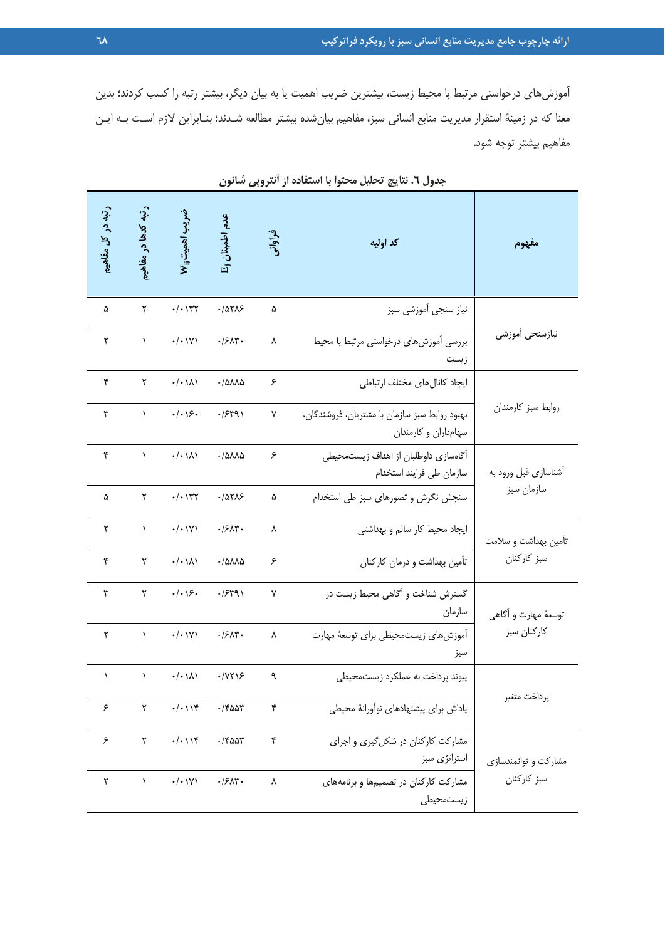آموزشهاي درخواستي مرتبط با محيط زيست، بيشترين ضريب اهميت يا به بيان ديگر، بيشتر رتبه را كسب كردند؛ بدين معنا كه در زمينة استقرار مديريت منابع انساني سبز، مفاهيم بيانشده بيشتر مطالعه شـدند؛ بنـابراين لازم اسـت بـه ايـن مفاهيم بيشتر توجه شود.

| رتبه در کل مفاهیم    | رتبه کدها در مفاهیع    | ضريب اهميت <sub>انا</sub> W        | عدم اطمینان <sub>ل</sub> H                | فراوانہ      | کد اولیه                                                              | مفهوم                 |  |
|----------------------|------------------------|------------------------------------|-------------------------------------------|--------------|-----------------------------------------------------------------------|-----------------------|--|
| ۵                    | ٢                      | $\cdot/\cdot$ $\Upsilon\Upsilon$   | .70705                                    | ۵            | نياز سنجى أموزشى سبز                                                  |                       |  |
| $\mathbf{\tilde{v}}$ | $\lambda$              | $\cdot/\cdot$ \Y\                  | $\cdot$ /۶ $\Lambda$ ۳ $\cdot$            | ٨            | بررسی آموزشهای درخواستی مرتبط با محیط<br>زيست                         | نيازسنجي أموزشي       |  |
| ۴                    | ٢                      | $\cdot/\cdot\setminus\wedge\wedge$ | $\cdot$ / $\Delta \lambda \lambda \Delta$ | ۶            | ايجاد كانال هاى مختلف ارتباطى                                         |                       |  |
| ٣                    | $\lambda$              | $\cdot/\cdot\backslash$ ۶.         | .75491                                    | $\mathsf{Y}$ | بهبود روابط سبز سازمان با مشتريان، فروشندگان،<br>سهامداران و کارمندان | روابط سبز كارمندان    |  |
| ۴                    | $\lambda$              | $\cdot/\cdot\setminus\wedge\wedge$ | $\cdot$ / $\Delta \lambda \lambda \Delta$ | ۶            | آگاهسازی داوطلبان از اهداف زیستمحیطی<br>سازمان طى فرايند استخدام      | أشناسازي قبل ورود به  |  |
| ۵                    | ٢                      | $\cdot/\cdot$ \ $\uparrow\uparrow$ | .10715                                    | ۵            | سنجش نگرش و تصورهای سبز طی استخدام                                    | سازمان سبز            |  |
| ٢                    | $\lambda$              | $\cdot/\cdot$ \Y\                  | $\cdot$ /۶ $\Lambda$ ۳ $\cdot$            | ٨            | ایجاد محیط کار سالم و بهداشتی                                         | تأمين بهداشت و سلامت  |  |
| ۴                    | $\Upsilon$             | $\cdot/\cdot\setminus\wedge\wedge$ | $\cdot$ /۵۸۸۵                             | ۶            | تأمین بهداشت و درمان کارکنان                                          | سبز كاركنان           |  |
| ٣                    | $\mathsf{r}$           | $\cdot/\cdot\backslash$ ۶.         | .75491                                    | $\mathsf{Y}$ | گسترش شناخت و آگاهی محیط زیست در<br>سازمان                            | توسعهٔ مهارت و اَگاهی |  |
| ٢                    | $\Delta$               | $\cdot/\cdot \vee \vee$            | $\cdot$ /۶ $\Lambda$ ۳ $\cdot$            | ٨            | آموزشهای زیستمحیطی برای توسعهٔ مهارت<br>سبز                           | كاركنان سبز           |  |
| $\lambda$            | $\boldsymbol{\lambda}$ | $\cdot/\cdot\setminus\wedge\wedge$ | $\cdot$ / $\gamma\gamma$                  | ٩            | پیوند پرداخت به عملکرد زیستمحیطی                                      |                       |  |
| ۶                    | $\Upsilon$             | $\cdot/\cdot$ ) $\Upsilon$         | $\cdot$ /۴۵۵۳                             | ۴            | پاداش برای پیشنهادهای نوآورانهٔ محیطی                                 | پرداخت متغير          |  |
| ۶                    | ٢                      | $\cdot/\cdot$ ) $\Upsilon$         | $\cdot$ /۴۵۵۳                             | ۴            | مشارکت کارکنان در شکل گیری و اجرای<br>استراتژی سبز                    | مشارکت و توانمندسازی  |  |
| ٢                    | $\lambda$              | $\cdot/\cdot$ ) $\vee$ )           | $\cdot$ /۶۸۳ $\cdot$                      | ٨            | مشارکت کارکنان در تصمیمها و برنامههای<br>زيستمحيطى                    | سبز كاركنان           |  |

**جدول .6 نتايج تحليل محتوا با استفاده از آنتروپي شانون**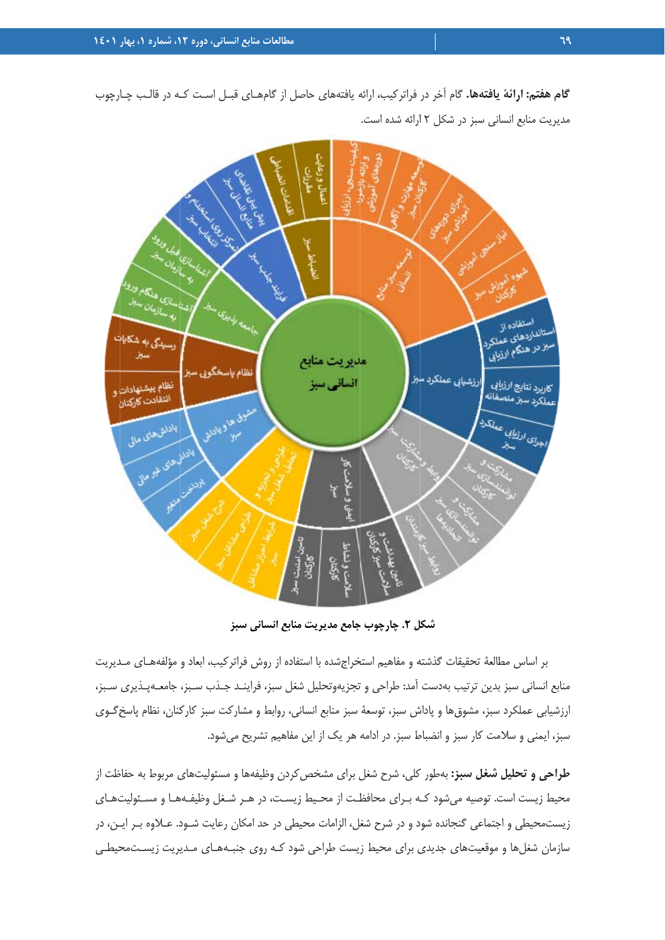وي.<br>ويديع Isan Usarip and a استفاده از ستانداردهای<br>ستانداردهای عملکرد|<br>بز در جری .<br>رسیدگی به شکایات سر سردهای عملکرد<br>میز در هنگام ارزیابی مديريت منابع نظام باسخگوبي سبز ارزشيابي عملكرد سبز انساني سيز كاربرد تنايج الأب<mark>اب</mark>ي .<br>نظام پیشنهادات ەربرد سېر منصفانه.<br><sub>عمل</sub>کرد سبز منصفانه انتقادت كاركتان **Sides** to dark ان متوالد ديا المنابات التي بدينها باداش های مالی **She she glad with the first dividend** 

گام هفتم: ارائهٔ یافتهها. گام اّخر در فراترکیب، ارائه یافتههای حاصل از گامهـای قبـل اسـت کـه در قالـب چـارچوب مديريت منابع انساني سبز در شكل ٢ ارائه شده است.

**سبز منابع انساني س جامع مديريت م ل .2 چارچوب ج شكل**

بر اساس مطالعهٔ تحقیقات گذشته و مفاهیم استخراجشده با استفاده از روش فراترکیب، ابعاد و مؤلفههـای مـدیریت منابع انساني سبز بدين ترتيب بهدست أمد: طراحي و تجزيهوتحليل شغل سبز، فراينـد جـذب سـبز، جامعــهپـذيري سـبز، ْرزشيابي عملكرد سبز، مشوق@ا و پاداش سبز، توسعهٔ سبز منابع انساني، روابط و مشاركت سبز كاركنان، نظام پاسخگـوي سبز، ايمني و سلامت كار سبز و انضباط سبز. در ادامه هر يک از اين مفاهيم تشريح ميشود.

**طراحي و تحليل شغل سبز:** بهطور كلي، شرح شغل براي مشخص كردن وظيفهها و مسئوليتهاي مربوط به حفاظت از محيط زيست است. توصيه مىشود كـه بـراى محافظـت از محـيط زيسـت، در هـر شـغل وظيفـههـا و مسـئوليتـهـاى زيستمحيطي و اجتماعي گنجانده شود و در شرح شغل، الزامات محيطي در حد امكان رعايت شـود. عــلاوه بــر ايــن، در سازمان شغلها و موقعيتهاى جديدى براى محيط زيست طراحى شود كـه روى جنبـههـاى مـديريت زيسـتمحيطـى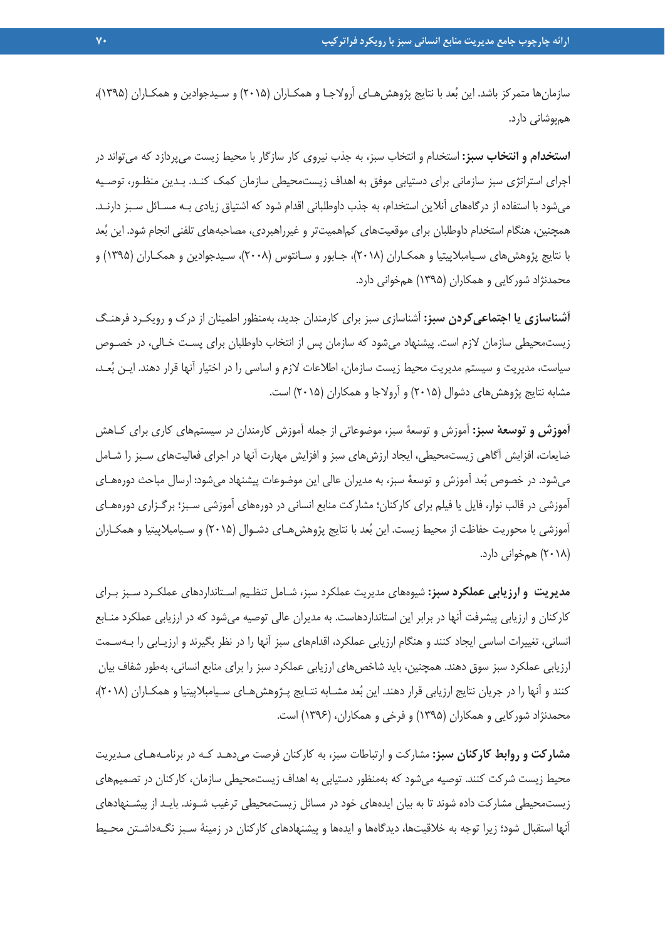سازمانها متمركز باشد. اين بعد با نتايج پژوهشهـاي آرولاجـا و همكـاران (2015) و سـيدجوادين و همكـاران (1395)، همپوشاني دارد.

**استخدام و انتخاب سبز:** استخدام و انتخاب سبز، به جذب نيروي كار سازگار با محيط زيست ميپردازد كه ميتواند در اجراي استراتژي سبز سازماني براي دستيابي موفق به اهداف زيستمحيطي سازمان كمك كنـد. بـدين منظـور، توصـيه ميشود با استفاده از درگاههاي آنلاين استخدام، به جذب داوطلباني اقدام شود كه اشتياق زيادي بـه مسـائل سـبز دارنـد. همچنين، هنگام استخدام داوطلبان براي موقعيتهاي كماهميتتر و غيرراهبردي، مصاحبههاي تلفني انجام شود. اين بعد با نتايج پژوهشهاي سـيامبلاپيتيا و همكـاران (2018)، جـابور و سـانتوس (2008)، سـيدجوادين و همكـاران (1395) و محمدنژاد شوركايي و همكاران (1395) همخواني دارد.

**آشناسازي يا اجتماعيكردن سبز:** آشناسازي سبز براي كارمندان جديد، بهمنظور اطمينان از درك و رويكـرد فرهنـگ زيستمحيطي سازمان لازم است. پيشنهاد ميشود كه سازمان پس از انتخاب داوطلبان براي پسـت خـالي، در خصـوص سياست، مديريت و سيستم مديريت محيط زيست سازمان، اطلاعات لازم و اساسي را در اختيار آنها قرار دهند. ايـن بعـد، مشابه نتايج پژوهشهاي دشوال (2015) و آرولاجا و همكاران (2015) است.

**آموزش و توسعة سبز:** آموزش و توسعة سبز، موضوعاتي از جمله آموزش كارمندان در سيستمهاي كاري براي كـاهش ضايعات، افزايش آگاهي زيستمحيطي، ايجاد ارزشهاي سبز و افزايش مهارت آنها در اجراي فعاليتهاي سـبز را شـامل ميشود. در خصوص بعد آموزش و توسعة سبز، به مديران عالي اين موضوعات پيشنهاد ميشود: ارسال مباحث دورههـاي آموزشي در قالب نوار، فايل يا فيلم براي كاركنان؛ مشاركت منابع انساني در دورههاي آموزشي سـبز؛ برگـزاري دورههـاي آموزشي با محوريت حفاظت از محيط زيست. اين بُعد با نتايج پژوهش(هـاي دشـوال (٢٠١۵) و سـيامبلاپيتيا و همكـاران (2018) همخواني دارد.

**مديريت و ارزيابي عملكرد سبز:** شيوههاي مديريت عملكرد سبز، شـامل تنظـيم اسـتانداردهاي عملكـرد سـبز بـراي كاركنان و ارزيابي پيشرفت آنها در برابر اين استانداردهاست. به مديران عالي توصيه ميشود كه در ارزيابي عملكرد منـابع انساني، تغييرات اساسي ايجاد كنند و هنگام ارزيابي عملكرد، اقدامهاي سبز آنها را در نظر بگيرند و ارزيـابي را بـهسـمت ارزيابي عملكرد سبز سوق دهند. همچنين، بايد شاخص هاي ارزيابي عملكرد سبز را براي منابع انساني، بهطور شفاف بيان كنند و آنها را در جريان نتايج ارزيابي قرار دهند. اين بعد مشـابه نتـايج پـژوهشهـاي سـيامبلاپيتيا و همكـاران (2018)، محمدنژاد شوركايي و همكاران (1395) و فرخي و همكاران، (1396) است.

**مشاركت و روابط كاركنان سبز:** مشاركت و ارتباطات سبز، به كاركنان فرصت ميدهـد كـه در برنامـههـاي مـديريت محيط زيست شركت كنند. توصيه ميشود كه بهمنظور دستيابي به اهداف زيستمحيطي سازمان، كاركنان در تصميمهاي زيستمحيطي مشاركت داده شوند تا به بيان ايدههاي خود در مسائل زيستمحيطي ترغيب شـوند. بايـد از پيشـنهادهاي آنها استقبال شود؛ زيرا توجه به خلاقيتها، ديدگاهها و ايدهها و پيشنهادهاي كاركنان در زمينة سـبز نگـهداشـتن محـيط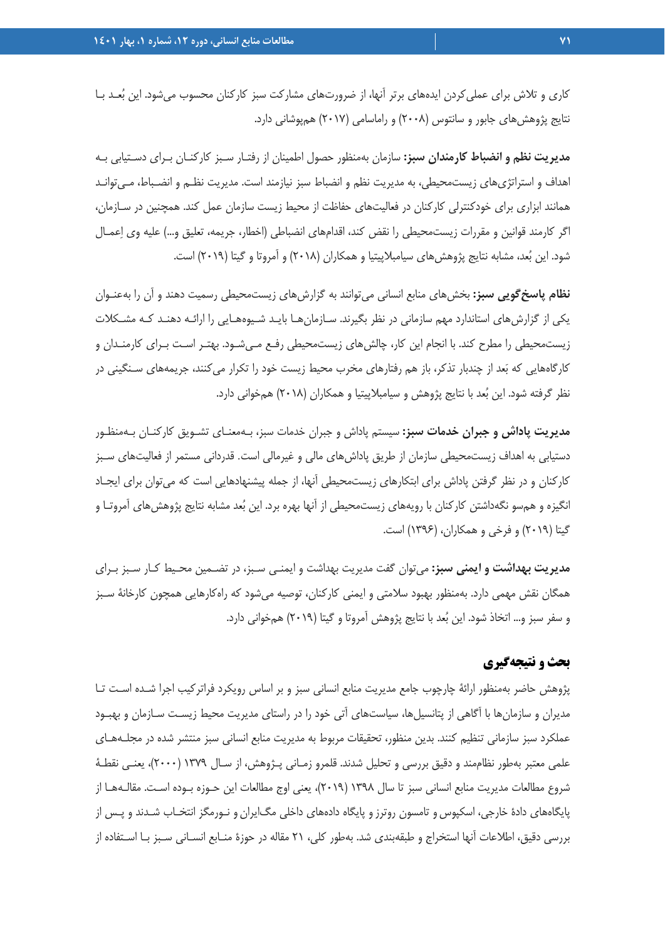كاري و تلاش براي عمليكردن ايدههاي برتر آنها، از ضرورتهاي مشاركت سبز كاركنان محسوب ميشود. اين بعـد بـا نتايج پژوهشهاي جابور و سانتوس (2008) و راماسامي (2017) همپوشاني دارد.

**مديريت نظم و انضباط كارمندان سبز:** سازمان بهمنظور حصول اطمينان از رفتـار سـبز كاركنـان بـراي دسـتيابي بـه اهداف و استراتژيهاي زيستمحيطي، به مديريت نظم و انضباط سبز نيازمند است. مديريت نظـم و انضـباط، مـيتوانـد همانند ابزاري براي خودكنترلي كاركنان در فعاليتهاي حفاظت از محيط زيست سازمان عمل كند. همچنين در سـازمان، اگر كارمند قوانين و مقررات زيستمحيطي را نقض كند، اقدامهاي انضباطي (اخطار، جريمه، تعليق و...) عليه وي اعمـال شود. اين بُعد، مشابه نتايج پژوهشهاي سيامبلاپيتيا و همكاران (٢٠١٨) و آمروتا و گيتا (٢٠١٩) است.

**نظام پاسخگويي سبز:** بخشهاي منابع انساني ميتوانند به گزارشهاي زيستمحيطي رسميت دهند و آن را بهعنـوان يكي از گزارشهاي استاندارد مهم سازماني در نظر بگيرند. سـازمانهـا بايـد شـيوههـايي را ارائـه دهنـد كـه مشـكلات زيستمحيطي را مطرح كند. با انجام اين كار، چالشهاي زيستمحيطي رفـع مـيشـود. بهتـر اسـت بـراي كارمنـدان و كارگاههايي كه بعد از چندبار تذكر، باز هم رفتارهاي مخرب محيط زيست خود را تكرار ميكنند، جريمههاي سـنگيني در نظر گرفته شود. اين بعد با نتايج پژوهش و سيامبلاپيتيا و همكاران (2018) همخواني دارد.

**مديريت پاداش و جبران خدمات سبز:** سيستم پاداش و جبران خدمات سبز، بـهمعنـاي تشـويق كاركنـان بـهمنظـور دستيابي به اهداف زيستمحيطي سازمان از طريق پاداشهاي مالي و غيرمالي است. قدرداني مستمر از فعاليتهاي سـبز كاركنان و در نظر گرفتن پاداش براي ابتكارهاي زيستمحيطي آنها، از جمله پيشنهادهايي است كه ميتوان براي ايجـاد انگيزه و همسو نگهداشتن كاركنان با رويههاي زيستمحيطي از آنها بهره برد. اين بعد مشابه نتايج پژوهشهاي آمروتـا و گيتا (2019) و فرخي و همكاران، (1396) است.

**مديريت بهداشت و ايمني سبز:** ميتوان گفت مديريت بهداشت و ايمنـي سـبز، در تضـمين محـيط كـار سـبز بـراي همگان نقش مهمي دارد. بهمنظور بهبود سلامتي و ايمني كاركنان، توصيه ميشود كه راهكارهايي همچون كارخانة سـبز و سفر سبز و... اتخاذ شود. اين بعد با نتايج پژوهش آمروتا و گيتا (2019) همخواني دارد.

#### **بحث و نتيجهگيري**

پژوهش حاضر بهمنظور ارائة چارچوب جامع مديريت منابع انساني سبز و بر اساس رويكرد فراتركيب اجرا شـده اسـت تـا مديران و سازمانها با آگاهي از پتانسيلها، سياستهاي آتي خود را در راستاي مديريت محيط زيسـت سـازمان و بهبـود عملكرد سبز سازماني تنظيم كنند. بدين منظور، تحقيقات مربوط به مديريت منابع انساني سبز منتشر شده در مجلـههـاي علمي معتبر بهطور نظاممند و دقيق بررسي و تحليل شدند. قلمرو زمـاني پـژوهش، از سـال 1379 (2000)، يعنـي نقطـة شروع مطالعات مديريت منابع انساني سبز تا سال 1398 (2019)، يعني اوج مطالعات اين حـوزه بـوده اسـت. مقالـههـا از پايگاههاي دادة خارجي، اسكپوس و تامسون روترزو پايگاه دادههاي داخلي مگايران و نـورمگز انتخـاب شـدند و پـس از بررسي دقيق، اطلاعات آنها استخراج و طبقهبندي شد. بهطور كلي، 21 مقاله در حوزة منـابع انسـاني سـبز بـا اسـتفاده از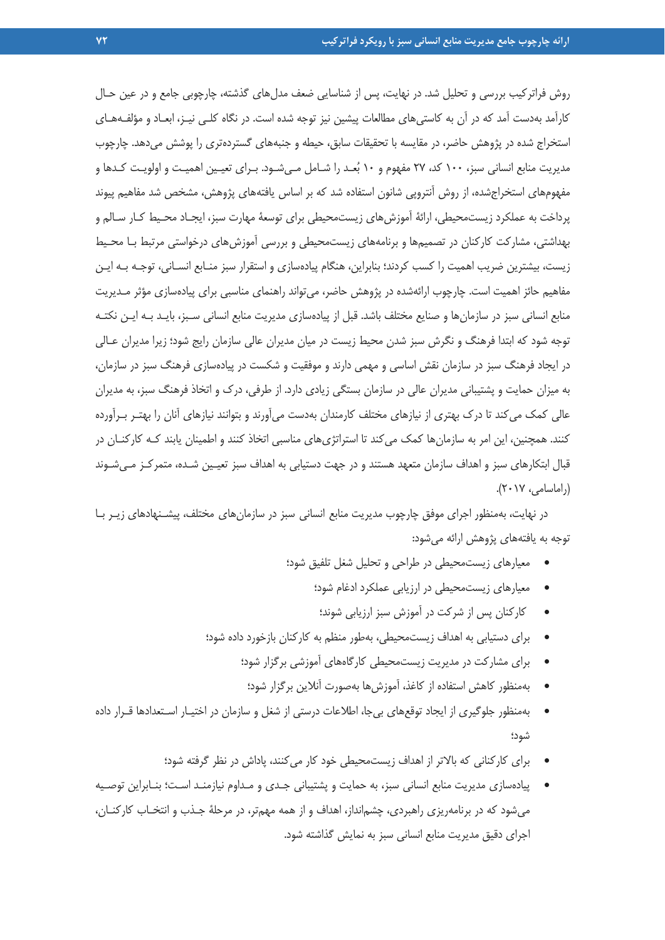روش فراتركيب بررسي و تحليل شد. در نهايت، پس از شناسايي ضعف مدلهاي گذشته، چارچوبي جامع و در عين حـال كارآمد بهدست آمد كه در آن به كاستيهاي مطالعات پيشين نيز توجه شده است. در نگاه كلـي نيـز، ابعـاد و مؤلفـههـاي استخراج شده در پژوهش حاضر، در مقايسه با تحقيقات سابق، حيطه و جنبههاي گستردهتري را پوشش ميدهد. چارچوب مديريت منابع انساني سبز، 100 كد، 27 مفهوم و 10 بعـد را شـامل مـيشـود. بـراي تعيـين اهميـت و اولويـت كـدها و مفهومهاي استخراجشده، از روش آنتروپي شانون استفاده شد كه بر اساس يافتههاي پژوهش، مشخص شد مفاهيم پيوند پرداخت به عملكرد زيستمحيطي، ارائة آموزشهاي زيستمحيطي براي توسعة مهارت سبز، ايجـاد محـيط كـار سـالم و بهداشتي، مشاركت كاركنان در تصميمها و برنامههاي زيستمحيطي و بررسي آموزشهاي درخواستي مرتبط بـا محـيط زيست، بيشترين ضريب اهميت را كسب كردند؛ بنابراين، هنگام پيادهسازي و استقرار سبز منـابع انسـاني، توجـه بـه ايـن مفاهيم حائز اهميت است. چارچوب ارائهشده در پژوهش حاضر، ميتواند راهنماي مناسبي براي پيادهسازي مؤثر مـديريت منابع انساني سبز در سازمانها و صنايع مختلف باشد. قبل از پيادهسازي مديريت منابع انساني سـبز، بايـد بـه ايـن نكتـه توجه شود كه ابتدا فرهنگ و نگرش سبز شدن محيط زيست در ميان مديران عالي سازمان رايج شود؛ زيرا مديران عـالي در ايجاد فرهنگ سبز در سازمان نقش اساسي و مهمي دارند و موفقيت و شكست در پيادهسازي فرهنگ سبز در سازمان، به ميزان حمايت و پشتيباني مديران عالي در سازمان بستگي زيادي دارد. از طرفي، درك و اتخاذ فرهنگ سبز، به مديران عالي كمك ميكند تا درك بهتري از نيازهاي مختلف كارمندان بهدست ميآورند و بتوانند نيازهاي آنان را بهتـر بـرآورده كنند. همچنين، اين امر به سازمانها كمك ميكند تا استراتژيهاي مناسبي اتخاذ كنند و اطمينان يابند كـه كاركنـان در قبال ابتكارهاي سبز و اهداف سازمان متعهد هستند و در جهت دستيابي به اهداف سبز تعيـين شـده، متمركـز مـيشـوند (راماسامي، 2017).

در نهايت، بهمنظور اجراي موفق چارچوب مديريت منابع انساني سبز در سازمانهاي مختلف، پيشـنهادهاي زيـر بـا توجه به يافتههاي پژوهش ارائه ميشود:

- معيارهاي زيستمحيطي در طراحي و تحليل شغل تلفيق شود؛
	- معيارهاي زيستمحيطي در ارزيابي عملكرد ادغام شود؛
		- كاركنان پس از شركت در آموزش سبز ارزيابي شوند؛
- براي دستيابي به اهداف زيستمحيطي، بهطور منظم به كاركنان بازخورد داده شود؛
	- براي مشاركت در مديريت زيستمحيطي كارگاههاي آموزشي برگزار شود؛
		- بهمنظور كاهش استفاده از كاغذ، آموزشها بهصورت آنلاين برگزار شود؛
- بهمنظور جلوگيري از ايجاد توقعهاي بيجا، اطلاعات درستي از شغل و سازمان در اختيـار اسـتعدادها قـرار داده شود؛
	- براي كاركناني كه بالاتر از اهداف زيستمحيطي خود كار ميكنند، پاداش در نظر گرفته شود؛
- پيادهسازي مديريت منابع انساني سبز، به حمايت و پشتيباني جـدي و مـداوم نيازمنـد اسـت؛ بنـابراين توصـيه ميشود كه در برنامهريزي راهبردي، چشمانداز، اهداف و از همه مهمتر، در مرحلة جـذب و انتخـاب كاركنـان، اجراي دقيق مديريت منابع انساني سبز به نمايش گذاشته شود.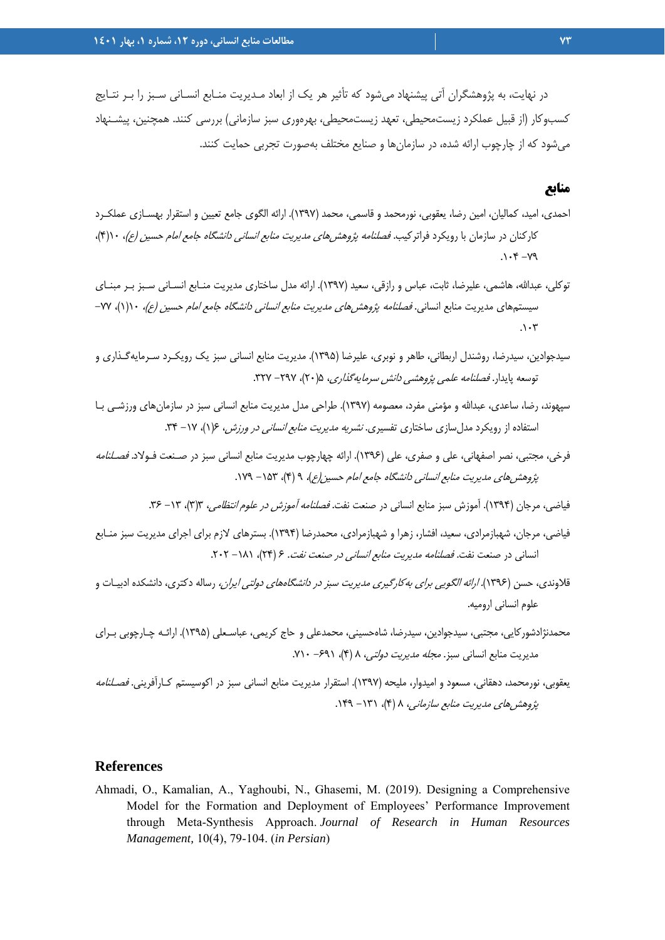در نهايت، به پژوهشگران آتي پيشنهاد ميشود كه تأثير هر يك از ابعاد مـديريت منـابع انسـاني سـبز را بـر نتـايج كسبوكار (از قبيل عملكرد زيستمحيطي، تعهد زيستمحيطي، بهرهوري سبز سازماني) بررسي كنند. همچنين، پيشـنهاد ميشود كه از چارچوب ارائه شده، در سازمانها و صنايع مختلف بهصورت تجربي حمايت كنند.

#### **منابع**

- احمدي، اميد، كماليان، امين رضا، يعقوبي، نورمحمد و قاسمي، محمد (1397). ارائه الگوي جامع تعيين و استقرار بهسـازي عملكـرد كاركنان در سازمان با رويكرد فراتركيب. *فصلنامه پژوهش هاي مديريت منابع انساني دانشگاه جامع امام حسين (ع)،* ۱۰(۴)،  $.1 - 7 - 79$
- توكلي، عبداالله، هاشمي، عليرضا، ثابت، عباس و رازقي، سعيد (1397). ارائه مدل ساختاري مديريت منـابع انسـاني سـبز بـر مبنـاي سيستمهاي مديريت منابع انساني. *فصلنامه پژوهش هاي مديريت منابع انساني دانشگاه جامع امام حسين (ع)،* ١(١)، ٧٧- $\cdot$
- سيدجوادين، سيدرضا، روشندل اربطاني، طاهر و نوبري، عليرضا (1395). مديريت منابع انساني سبز يك رويكـرد سـرمايهگـذاري و توسعه پايدار. فص*لنامه علمي پژوهشي دانش سرمايه گذاري،* ۲۵(۲۰)، ۲۹۷– ۳۲۷.
- سپهوند، رضا، ساعدي، عبداالله و مؤمني مفرد، معصومه (1397). طراحي مدل مديريت منابع انساني سبز در سازمانهاي ورزشـي بـا استفاده از رويكرد مدلسازي ساختاري تفسيري. *نشريه مديريت منابع انساني در ورزش، ۶(۱)*، ۱۷- ۳۴.
- فرخي، مجتبي، نصر اصفهاني، علي و صفري، علي (1396). ارائه چهارچوب مديريت منابع انساني سبز در صـنعت فـولاد. فصـلنامه پژوهش هاي مديريت منابع انساني دانشگاه جامع امام حسين (ع)، ۹ (۴)، ۱۵۳ - ۱۷۹.
	- فياضي، مرجان (١٣٩۴). آموزش سبز منابع انساني در صنعت نفت. *فصلنامه آموزش در علوم انتظامي*، ٦(٣)، ٦٢- ٣۶.
- فياضي، مرجان، شهبازمرادي، سعيد، افشار، زهرا و شهبازمرادي، محمدرضا (1394). بسترهاي لازم براي اجراي مديريت سبز منـابع انساني در صنعت نفت. فصلنامه مديريت منابع انساني در صنعت نفت. 6 (24)، -181 .202
- قلاوندي، حسن (1396). ارائه الگويي براي بهكارگيري مديريت سبز در دانشگاههاي دولتي ايران، رساله دكتري، دانشكده ادبيـات و علوم انساني اروميه.
- محمدنژادشوركايي، مجتبي، سيدجوادين، سيدرضا، شاهحسيني، محمدعلي و حاج كريمي، عباسـعلي (1395). ارائـه چـارچوبي بـراي مديريت منابع انساني سبز. مجله مديريت دولتي، 8 (4)، -691 .710
- يعقوبي، نورمحمد، دهقاني، مسعود و اميدوار، مليحه (1397). استقرار مديريت منابع انساني سبز در اكوسيستم كـارآفريني. فصـلنامه پژوهشر هاي مديريت منابع سازماني، ٨ (۴)، ١٣١ - ١٤٩.

#### **References**

Ahmadi, O., Kamalian, A., Yaghoubi, N., Ghasemi, M. (2019). Designing a Comprehensive Model for the Formation and Deployment of Employees' Performance Improvement through Meta-Synthesis Approach. *Journal of Research in Human Resources Management,* 10(4), 79-104. (*in Persian*)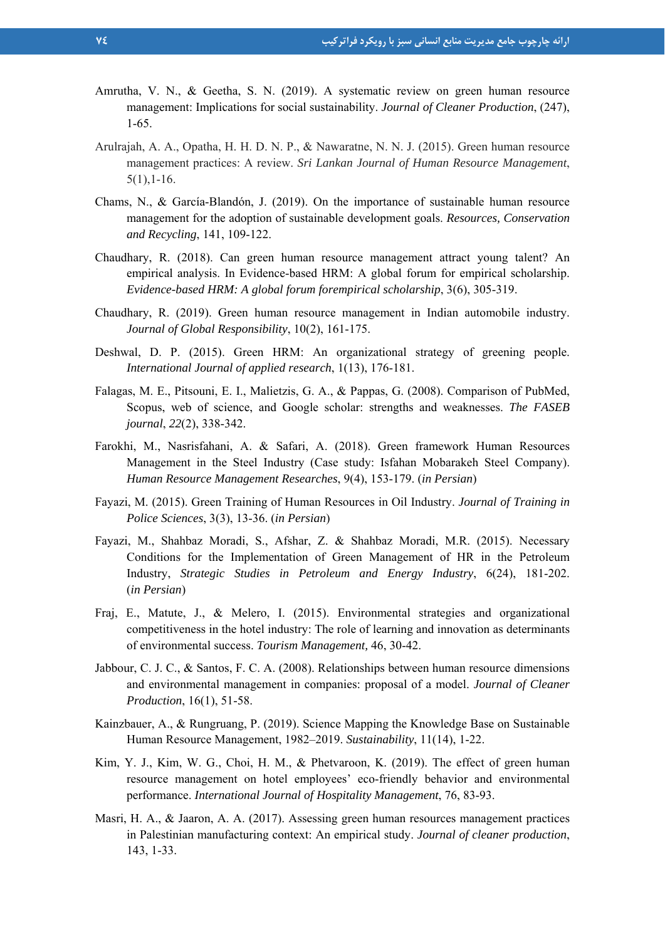- Amrutha, V. N., & Geetha, S. N. (2019). A systematic review on green human resource management: Implications for social sustainability. *Journal of Cleaner Production*, (247), 1-65.
- Arulrajah, A. A., Opatha, H. H. D. N. P., & Nawaratne, N. N. J. (2015). Green human resource management practices: A review. *Sri Lankan Journal of Human Resource Management*, 5(1),1-16.
- Chams, N., & García-Blandón, J. (2019). On the importance of sustainable human resource management for the adoption of sustainable development goals. *Resources, Conservation and Recycling*, 141, 109-122.
- Chaudhary, R. (2018). Can green human resource management attract young talent? An empirical analysis. In Evidence-based HRM: A global forum for empirical scholarship. *Evidence-based HRM: A global forum forempirical scholarship*, 3(6), 305-319.
- Chaudhary, R. (2019). Green human resource management in Indian automobile industry. *Journal of Global Responsibility*, 10(2), 161-175.
- Deshwal, D. P. (2015). Green HRM: An organizational strategy of greening people. *International Journal of applied research*, 1(13), 176-181.
- Falagas, M. E., Pitsouni, E. I., Malietzis, G. A., & Pappas, G. (2008). Comparison of PubMed, Scopus, web of science, and Google scholar: strengths and weaknesses. *The FASEB journal*, *22*(2), 338-342.
- Farokhi, M., Nasrisfahani, A. & Safari, A. (2018). Green framework Human Resources Management in the Steel Industry (Case study: Isfahan Mobarakeh Steel Company). *Human Resource Management Researches*, 9(4), 153-179. (*in Persian*)
- Fayazi, M. (2015). Green Training of Human Resources in Oil Industry. *Journal of Training in Police Sciences*, 3(3), 13-36. (*in Persian*)
- Fayazi, M., Shahbaz Moradi, S., Afshar, Z. & Shahbaz Moradi, M.R. (2015). Necessary Conditions for the Implementation of Green Management of HR in the Petroleum Industry, *Strategic Studies in Petroleum and Energy Industry*, 6(24), 181-202. (*in Persian*)
- Fraj, E., Matute, J., & Melero, I. (2015). Environmental strategies and organizational competitiveness in the hotel industry: The role of learning and innovation as determinants of environmental success. *Tourism Management,* 46, 30-42.
- Jabbour, C. J. C., & Santos, F. C. A. (2008). Relationships between human resource dimensions and environmental management in companies: proposal of a model. *Journal of Cleaner Production*, 16(1), 51-58.
- Kainzbauer, A., & Rungruang, P. (2019). Science Mapping the Knowledge Base on Sustainable Human Resource Management, 1982–2019. *Sustainability*, 11(14), 1-22.
- Kim, Y. J., Kim, W. G., Choi, H. M., & Phetvaroon, K. (2019). The effect of green human resource management on hotel employees' eco-friendly behavior and environmental performance. *International Journal of Hospitality Management*, 76, 83-93.
- Masri, H. A., & Jaaron, A. A. (2017). Assessing green human resources management practices in Palestinian manufacturing context: An empirical study. *Journal of cleaner production*, 143, 1-33.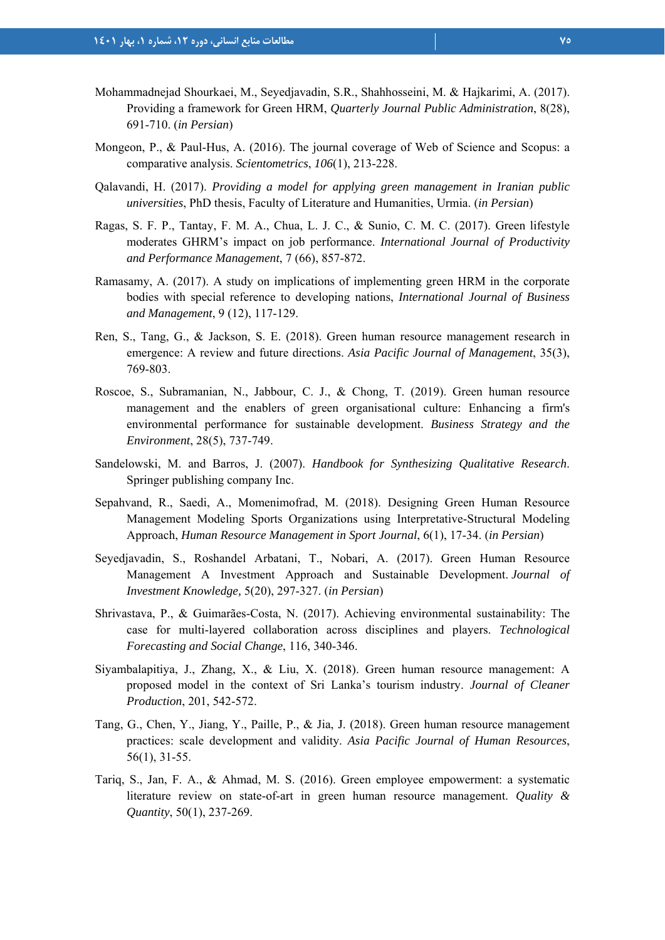- Mohammadnejad Shourkaei, M., Seyedjavadin, S.R., Shahhosseini, M. & Hajkarimi, A. (2017). Providing a framework for Green HRM, *Quarterly Journal Public Administration*, 8(28), 691-710. (*in Persian*)
- Mongeon, P., & Paul-Hus, A. (2016). The journal coverage of Web of Science and Scopus: a comparative analysis. *Scientometrics*, *106*(1), 213-228.
- Qalavandi, H. (2017). *Providing a model for applying green management in Iranian public universities*, PhD thesis, Faculty of Literature and Humanities, Urmia. (*in Persian*)
- Ragas, S. F. P., Tantay, F. M. A., Chua, L. J. C., & Sunio, C. M. C. (2017). Green lifestyle moderates GHRM's impact on job performance. *International Journal of Productivity and Performance Management*, 7 (66), 857-872.
- Ramasamy, A. (2017). A study on implications of implementing green HRM in the corporate bodies with special reference to developing nations, *International Journal of Business and Management*, 9 (12), 117-129.
- Ren, S., Tang, G., & Jackson, S. E. (2018). Green human resource management research in emergence: A review and future directions. *Asia Pacific Journal of Management*, 35(3), 769-803.
- Roscoe, S., Subramanian, N., Jabbour, C. J., & Chong, T. (2019). Green human resource management and the enablers of green organisational culture: Enhancing a firm's environmental performance for sustainable development. *Business Strategy and the Environment*, 28(5), 737-749.
- Sandelowski, M. and Barros, J. (2007). *Handbook for Synthesizing Qualitative Research*. Springer publishing company Inc.
- Sepahvand, R., Saedi, A., Momenimofrad, M. (2018). Designing Green Human Resource Management Modeling Sports Organizations using Interpretative-Structural Modeling Approach, *Human Resource Management in Sport Journal*, 6(1), 17-34. (*in Persian*)
- Seyedjavadin, S., Roshandel Arbatani, T., Nobari, A. (2017). Green Human Resource Management A Investment Approach and Sustainable Development. *Journal of Investment Knowledge,* 5(20), 297-327. (*in Persian*)
- Shrivastava, P., & Guimarães-Costa, N. (2017). Achieving environmental sustainability: The case for multi-layered collaboration across disciplines and players. *Technological Forecasting and Social Change*, 116, 340-346.
- Siyambalapitiya, J., Zhang, X., & Liu, X. (2018). Green human resource management: A proposed model in the context of Sri Lanka's tourism industry. *Journal of Cleaner Production*, 201, 542-572.
- Tang, G., Chen, Y., Jiang, Y., Paille, P., & Jia, J. (2018). Green human resource management practices: scale development and validity. *Asia Pacific Journal of Human Resources*, 56(1), 31-55.
- Tariq, S., Jan, F. A., & Ahmad, M. S. (2016). Green employee empowerment: a systematic literature review on state-of-art in green human resource management. *Quality & Quantity*, 50(1), 237-269.